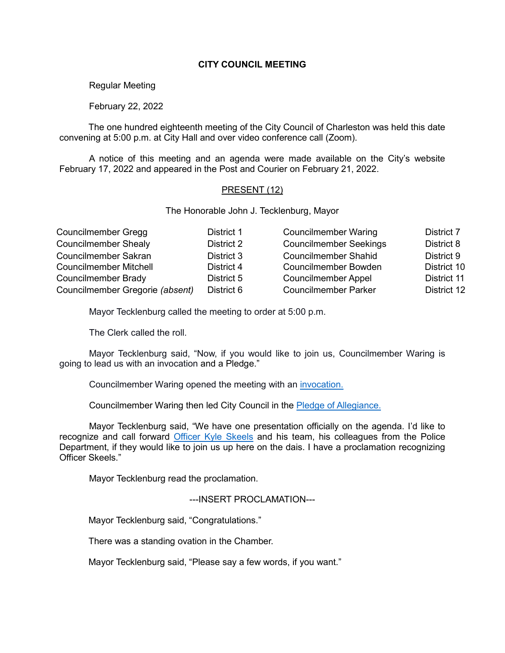# **CITY COUNCIL MEETING**

Regular Meeting

February 22, 2022

The one hundred eighteenth meeting of the City Council of Charleston was held this date convening at 5:00 p.m. at City Hall and over video conference call (Zoom).

A notice of this meeting and an agenda were made available on the City's website February 17, 2022 and appeared in the Post and Courier on February 21, 2022.

### PRESENT (12)

The Honorable John J. Tecklenburg, Mayor

| Councilmember Gregg             | District 1 | <b>Councilmember Waring</b>   | District 7  |
|---------------------------------|------------|-------------------------------|-------------|
| <b>Councilmember Shealy</b>     | District 2 | <b>Councilmember Seekings</b> | District 8  |
| <b>Councilmember Sakran</b>     | District 3 | <b>Councilmember Shahid</b>   | District 9  |
| <b>Councilmember Mitchell</b>   | District 4 | <b>Councilmember Bowden</b>   | District 10 |
| Councilmember Brady             | District 5 | <b>Councilmember Appel</b>    | District 11 |
| Councilmember Gregorie (absent) | District 6 | <b>Councilmember Parker</b>   | District 12 |

Mayor Tecklenburg called the meeting to order at 5:00 p.m.

The Clerk called the roll.

Mayor Tecklenburg said, "Now, if you would like to join us, Councilmember Waring is going to lead us with an invocation and a Pledge."

Councilmember Waring opened the meeting with an [invocation.](https://youtu.be/lG9RkCgUGbI?t=141)

Councilmember Waring then led City Council in the [Pledge of Allegiance.](https://youtu.be/lG9RkCgUGbI?t=143)

Mayor Tecklenburg said, "We have one presentation officially on the agenda. I'd like to recognize and call forward [Officer Kyle Skeels](https://youtu.be/lG9RkCgUGbI?t=253) and his team, his colleagues from the Police Department, if they would like to join us up here on the dais. I have a proclamation recognizing Officer Skeels."

Mayor Tecklenburg read the proclamation.

---INSERT PROCLAMATION---

Mayor Tecklenburg said, "Congratulations."

There was a standing ovation in the Chamber.

Mayor Tecklenburg said, "Please say a few words, if you want."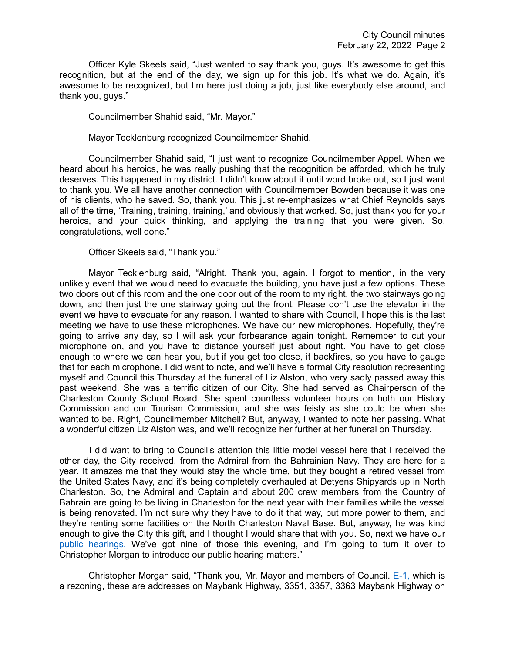Officer Kyle Skeels said, "Just wanted to say thank you, guys. It's awesome to get this recognition, but at the end of the day, we sign up for this job. It's what we do. Again, it's awesome to be recognized, but I'm here just doing a job, just like everybody else around, and thank you, guys."

Councilmember Shahid said, "Mr. Mayor."

Mayor Tecklenburg recognized Councilmember Shahid.

Councilmember Shahid said, "I just want to recognize Councilmember Appel. When we heard about his heroics, he was really pushing that the recognition be afforded, which he truly deserves. This happened in my district. I didn't know about it until word broke out, so I just want to thank you. We all have another connection with Councilmember Bowden because it was one of his clients, who he saved. So, thank you. This just re-emphasizes what Chief Reynolds says all of the time, 'Training, training, training,' and obviously that worked. So, just thank you for your heroics, and your quick thinking, and applying the training that you were given. So, congratulations, well done."

Officer Skeels said, "Thank you."

Mayor Tecklenburg said, "Alright. Thank you, again. I forgot to mention, in the very unlikely event that we would need to evacuate the building, you have just a few options. These two doors out of this room and the one door out of the room to my right, the two stairways going down, and then just the one stairway going out the front. Please don't use the elevator in the event we have to evacuate for any reason. I wanted to share with Council, I hope this is the last meeting we have to use these microphones. We have our new microphones. Hopefully, they're going to arrive any day, so I will ask your forbearance again tonight. Remember to cut your microphone on, and you have to distance yourself just about right. You have to get close enough to where we can hear you, but if you get too close, it backfires, so you have to gauge that for each microphone. I did want to note, and we'll have a formal City resolution representing myself and Council this Thursday at the funeral of Liz Alston, who very sadly passed away this past weekend. She was a terrific citizen of our City. She had served as Chairperson of the Charleston County School Board. She spent countless volunteer hours on both our History Commission and our Tourism Commission, and she was feisty as she could be when she wanted to be. Right, Councilmember Mitchell? But, anyway, I wanted to note her passing. What a wonderful citizen Liz Alston was, and we'll recognize her further at her funeral on Thursday.

I did want to bring to Council's attention this little model vessel here that I received the other day, the City received, from the Admiral from the Bahrainian Navy. They are here for a year. It amazes me that they would stay the whole time, but they bought a retired vessel from the United States Navy, and it's being completely overhauled at Detyens Shipyards up in North Charleston. So, the Admiral and Captain and about 200 crew members from the Country of Bahrain are going to be living in Charleston for the next year with their families while the vessel is being renovated. I'm not sure why they have to do it that way, but more power to them, and they're renting some facilities on the North Charleston Naval Base. But, anyway, he was kind enough to give the City this gift, and I thought I would share that with you. So, next we have our [public hearings.](https://youtu.be/lG9RkCgUGbI?t=672) We've got nine of those this evening, and I'm going to turn it over to Christopher Morgan to introduce our public hearing matters."

Christopher Morgan said, "Thank you, Mr. Mayor and members of Council. [E-1,](https://youtu.be/lG9RkCgUGbI?t=701) which is a rezoning, these are addresses on Maybank Highway, 3351, 3357, 3363 Maybank Highway on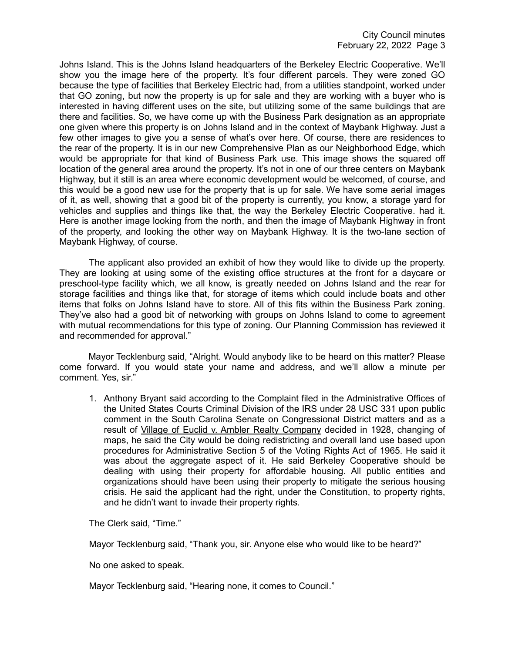Johns Island. This is the Johns Island headquarters of the Berkeley Electric Cooperative. We'll show you the image here of the property. It's four different parcels. They were zoned GO because the type of facilities that Berkeley Electric had, from a utilities standpoint, worked under that GO zoning, but now the property is up for sale and they are working with a buyer who is interested in having different uses on the site, but utilizing some of the same buildings that are there and facilities. So, we have come up with the Business Park designation as an appropriate one given where this property is on Johns Island and in the context of Maybank Highway. Just a few other images to give you a sense of what's over here. Of course, there are residences to the rear of the property. It is in our new Comprehensive Plan as our Neighborhood Edge, which would be appropriate for that kind of Business Park use. This image shows the squared off location of the general area around the property. It's not in one of our three centers on Maybank Highway, but it still is an area where economic development would be welcomed, of course, and this would be a good new use for the property that is up for sale. We have some aerial images of it, as well, showing that a good bit of the property is currently, you know, a storage yard for vehicles and supplies and things like that, the way the Berkeley Electric Cooperative. had it. Here is another image looking from the north, and then the image of Maybank Highway in front of the property, and looking the other way on Maybank Highway. It is the two-lane section of Maybank Highway, of course.

The applicant also provided an exhibit of how they would like to divide up the property. They are looking at using some of the existing office structures at the front for a daycare or preschool-type facility which, we all know, is greatly needed on Johns Island and the rear for storage facilities and things like that, for storage of items which could include boats and other items that folks on Johns Island have to store. All of this fits within the Business Park zoning. They've also had a good bit of networking with groups on Johns Island to come to agreement with mutual recommendations for this type of zoning. Our Planning Commission has reviewed it and recommended for approval."

Mayor Tecklenburg said, "Alright. Would anybody like to be heard on this matter? Please come forward. If you would state your name and address, and we'll allow a minute per comment. Yes, sir."

1. Anthony Bryant said according to the Complaint filed in the Administrative Offices of the United States Courts Criminal Division of the IRS under 28 USC 331 upon public comment in the South Carolina Senate on Congressional District matters and as a result of Village of Euclid v. Ambler Realty Company decided in 1928, changing of maps, he said the City would be doing redistricting and overall land use based upon procedures for Administrative Section 5 of the Voting Rights Act of 1965. He said it was about the aggregate aspect of it. He said Berkeley Cooperative should be dealing with using their property for affordable housing. All public entities and organizations should have been using their property to mitigate the serious housing crisis. He said the applicant had the right, under the Constitution, to property rights, and he didn't want to invade their property rights.

The Clerk said, "Time."

Mayor Tecklenburg said, "Thank you, sir. Anyone else who would like to be heard?"

No one asked to speak.

Mayor Tecklenburg said, "Hearing none, it comes to Council."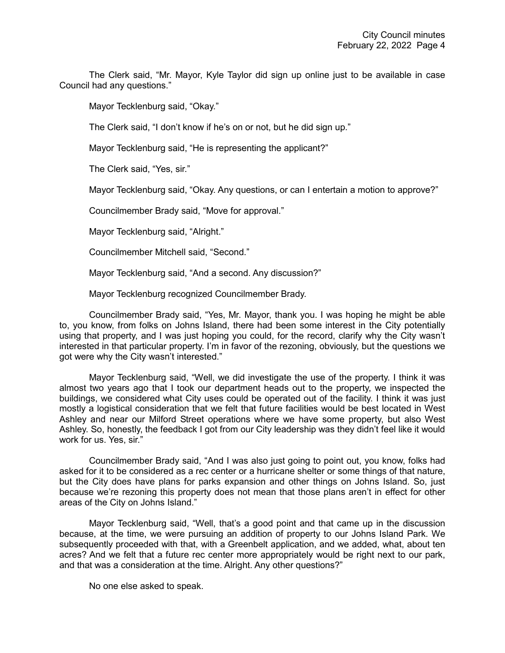The Clerk said, "Mr. Mayor, Kyle Taylor did sign up online just to be available in case Council had any questions."

Mayor Tecklenburg said, "Okay."

The Clerk said, "I don't know if he's on or not, but he did sign up."

Mayor Tecklenburg said, "He is representing the applicant?"

The Clerk said, "Yes, sir."

Mayor Tecklenburg said, "Okay. Any questions, or can I entertain a motion to approve?"

Councilmember Brady said, "Move for approval."

Mayor Tecklenburg said, "Alright."

Councilmember Mitchell said, "Second."

Mayor Tecklenburg said, "And a second. Any discussion?"

Mayor Tecklenburg recognized Councilmember Brady.

Councilmember Brady said, "Yes, Mr. Mayor, thank you. I was hoping he might be able to, you know, from folks on Johns Island, there had been some interest in the City potentially using that property, and I was just hoping you could, for the record, clarify why the City wasn't interested in that particular property. I'm in favor of the rezoning, obviously, but the questions we got were why the City wasn't interested."

Mayor Tecklenburg said, "Well, we did investigate the use of the property. I think it was almost two years ago that I took our department heads out to the property, we inspected the buildings, we considered what City uses could be operated out of the facility. I think it was just mostly a logistical consideration that we felt that future facilities would be best located in West Ashley and near our Milford Street operations where we have some property, but also West Ashley. So, honestly, the feedback I got from our City leadership was they didn't feel like it would work for us. Yes, sir."

Councilmember Brady said, "And I was also just going to point out, you know, folks had asked for it to be considered as a rec center or a hurricane shelter or some things of that nature, but the City does have plans for parks expansion and other things on Johns Island. So, just because we're rezoning this property does not mean that those plans aren't in effect for other areas of the City on Johns Island."

Mayor Tecklenburg said, "Well, that's a good point and that came up in the discussion because, at the time, we were pursuing an addition of property to our Johns Island Park. We subsequently proceeded with that, with a Greenbelt application, and we added, what, about ten acres? And we felt that a future rec center more appropriately would be right next to our park, and that was a consideration at the time. Alright. Any other questions?"

No one else asked to speak.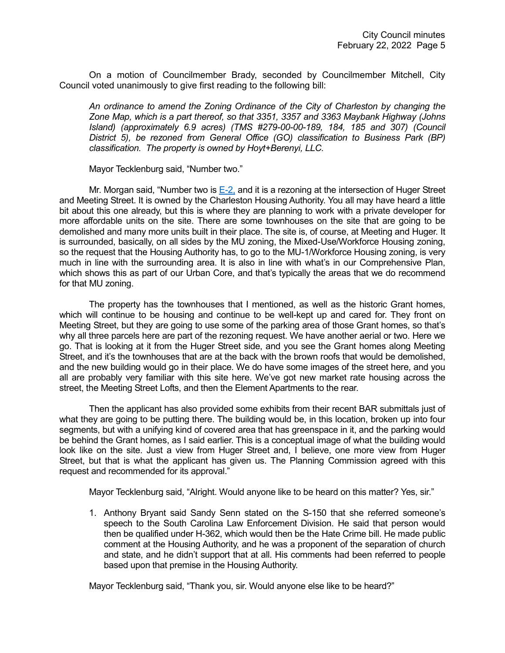On a motion of Councilmember Brady, seconded by Councilmember Mitchell, City Council voted unanimously to give first reading to the following bill:

*An ordinance to amend the Zoning Ordinance of the City of Charleston by changing the Zone Map, which is a part thereof, so that 3351, 3357 and 3363 Maybank Highway (Johns Island) (approximately 6.9 acres) (TMS #279-00-00-189, 184, 185 and 307) (Council District 5), be rezoned from General Office (GO) classification to Business Park (BP) classification. The property is owned by Hoyt+Berenyi, LLC.*

Mayor Tecklenburg said, "Number two."

Mr. Morgan said, "Number two is  $E-2$ , and it is a rezoning at the intersection of Huger Street and Meeting Street. It is owned by the Charleston Housing Authority. You all may have heard a little bit about this one already, but this is where they are planning to work with a private developer for more affordable units on the site. There are some townhouses on the site that are going to be demolished and many more units built in their place. The site is, of course, at Meeting and Huger. It is surrounded, basically, on all sides by the MU zoning, the Mixed-Use/Workforce Housing zoning, so the request that the Housing Authority has, to go to the MU-1/Workforce Housing zoning, is very much in line with the surrounding area. It is also in line with what's in our Comprehensive Plan, which shows this as part of our Urban Core, and that's typically the areas that we do recommend for that MU zoning.

The property has the townhouses that I mentioned, as well as the historic Grant homes, which will continue to be housing and continue to be well-kept up and cared for. They front on Meeting Street, but they are going to use some of the parking area of those Grant homes, so that's why all three parcels here are part of the rezoning request. We have another aerial or two. Here we go. That is looking at it from the Huger Street side, and you see the Grant homes along Meeting Street, and it's the townhouses that are at the back with the brown roofs that would be demolished, and the new building would go in their place. We do have some images of the street here, and you all are probably very familiar with this site here. We've got new market rate housing across the street, the Meeting Street Lofts, and then the Element Apartments to the rear.

Then the applicant has also provided some exhibits from their recent BAR submittals just of what they are going to be putting there. The building would be, in this location, broken up into four segments, but with a unifying kind of covered area that has greenspace in it, and the parking would be behind the Grant homes, as I said earlier. This is a conceptual image of what the building would look like on the site. Just a view from Huger Street and, I believe, one more view from Huger Street, but that is what the applicant has given us. The Planning Commission agreed with this request and recommended for its approval."

Mayor Tecklenburg said, "Alright. Would anyone like to be heard on this matter? Yes, sir."

1. Anthony Bryant said Sandy Senn stated on the S-150 that she referred someone's speech to the South Carolina Law Enforcement Division. He said that person would then be qualified under H-362, which would then be the Hate Crime bill. He made public comment at the Housing Authority, and he was a proponent of the separation of church and state, and he didn't support that at all. His comments had been referred to people based upon that premise in the Housing Authority.

Mayor Tecklenburg said, "Thank you, sir. Would anyone else like to be heard?"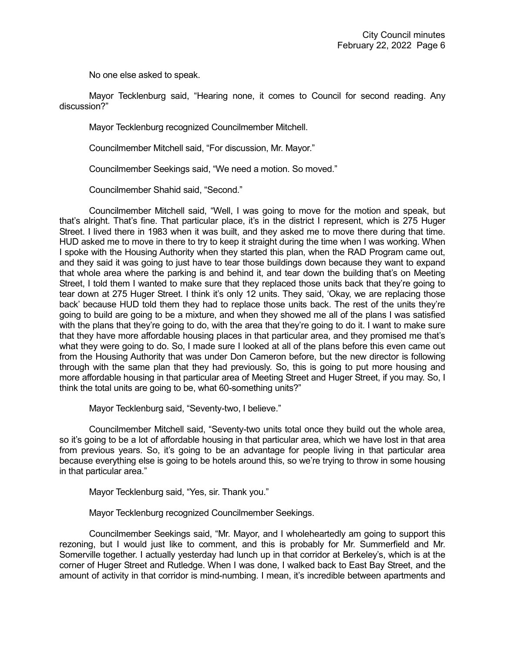No one else asked to speak.

Mayor Tecklenburg said, "Hearing none, it comes to Council for second reading. Any discussion?"

Mayor Tecklenburg recognized Councilmember Mitchell.

Councilmember Mitchell said, "For discussion, Mr. Mayor."

Councilmember Seekings said, "We need a motion. So moved."

Councilmember Shahid said, "Second."

Councilmember Mitchell said, "Well, I was going to move for the motion and speak, but that's alright. That's fine. That particular place, it's in the district I represent, which is 275 Huger Street. I lived there in 1983 when it was built, and they asked me to move there during that time. HUD asked me to move in there to try to keep it straight during the time when I was working. When I spoke with the Housing Authority when they started this plan, when the RAD Program came out, and they said it was going to just have to tear those buildings down because they want to expand that whole area where the parking is and behind it, and tear down the building that's on Meeting Street, I told them I wanted to make sure that they replaced those units back that they're going to tear down at 275 Huger Street. I think it's only 12 units. They said, 'Okay, we are replacing those back' because HUD told them they had to replace those units back. The rest of the units they're going to build are going to be a mixture, and when they showed me all of the plans I was satisfied with the plans that they're going to do, with the area that they're going to do it. I want to make sure that they have more affordable housing places in that particular area, and they promised me that's what they were going to do. So, I made sure I looked at all of the plans before this even came out from the Housing Authority that was under Don Cameron before, but the new director is following through with the same plan that they had previously. So, this is going to put more housing and more affordable housing in that particular area of Meeting Street and Huger Street, if you may. So, I think the total units are going to be, what 60-something units?"

Mayor Tecklenburg said, "Seventy-two, I believe."

Councilmember Mitchell said, "Seventy-two units total once they build out the whole area, so it's going to be a lot of affordable housing in that particular area, which we have lost in that area from previous years. So, it's going to be an advantage for people living in that particular area because everything else is going to be hotels around this, so we're trying to throw in some housing in that particular area."

Mayor Tecklenburg said, "Yes, sir. Thank you."

Mayor Tecklenburg recognized Councilmember Seekings.

Councilmember Seekings said, "Mr. Mayor, and I wholeheartedly am going to support this rezoning, but I would just like to comment, and this is probably for Mr. Summerfield and Mr. Somerville together. I actually yesterday had lunch up in that corridor at Berkeley's, which is at the corner of Huger Street and Rutledge. When I was done, I walked back to East Bay Street, and the amount of activity in that corridor is mind-numbing. I mean, it's incredible between apartments and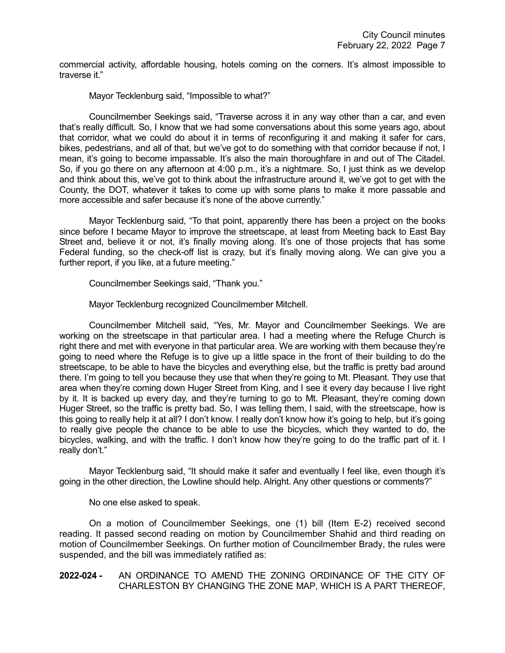commercial activity, affordable housing, hotels coming on the corners. It's almost impossible to traverse it."

Mayor Tecklenburg said, "Impossible to what?"

Councilmember Seekings said, "Traverse across it in any way other than a car, and even that's really difficult. So, I know that we had some conversations about this some years ago, about that corridor, what we could do about it in terms of reconfiguring it and making it safer for cars, bikes, pedestrians, and all of that, but we've got to do something with that corridor because if not, I mean, it's going to become impassable. It's also the main thoroughfare in and out of The Citadel. So, if you go there on any afternoon at 4:00 p.m., it's a nightmare. So, I just think as we develop and think about this, we've got to think about the infrastructure around it, we've got to get with the County, the DOT, whatever it takes to come up with some plans to make it more passable and more accessible and safer because it's none of the above currently."

Mayor Tecklenburg said, "To that point, apparently there has been a project on the books since before I became Mayor to improve the streetscape, at least from Meeting back to East Bay Street and, believe it or not, it's finally moving along. It's one of those projects that has some Federal funding, so the check-off list is crazy, but it's finally moving along. We can give you a further report, if you like, at a future meeting."

Councilmember Seekings said, "Thank you."

Mayor Tecklenburg recognized Councilmember Mitchell.

Councilmember Mitchell said, "Yes, Mr. Mayor and Councilmember Seekings. We are working on the streetscape in that particular area. I had a meeting where the Refuge Church is right there and met with everyone in that particular area. We are working with them because they're going to need where the Refuge is to give up a little space in the front of their building to do the streetscape, to be able to have the bicycles and everything else, but the traffic is pretty bad around there. I'm going to tell you because they use that when they're going to Mt. Pleasant. They use that area when they're coming down Huger Street from King, and I see it every day because I live right by it. It is backed up every day, and they're turning to go to Mt. Pleasant, they're coming down Huger Street, so the traffic is pretty bad. So, I was telling them, I said, with the streetscape, how is this going to really help it at all? I don't know. I really don't know how it's going to help, but it's going to really give people the chance to be able to use the bicycles, which they wanted to do, the bicycles, walking, and with the traffic. I don't know how they're going to do the traffic part of it. I really don't."

Mayor Tecklenburg said, "It should make it safer and eventually I feel like, even though it's going in the other direction, the Lowline should help. Alright. Any other questions or comments?"

No one else asked to speak.

On a motion of Councilmember Seekings, one (1) bill (Item E-2) received second reading. It passed second reading on motion by Councilmember Shahid and third reading on motion of Councilmember Seekings. On further motion of Councilmember Brady, the rules were suspended, and the bill was immediately ratified as:

# **2022-024 -** AN ORDINANCE TO AMEND THE ZONING ORDINANCE OF THE CITY OF CHARLESTON BY CHANGING THE ZONE MAP, WHICH IS A PART THEREOF,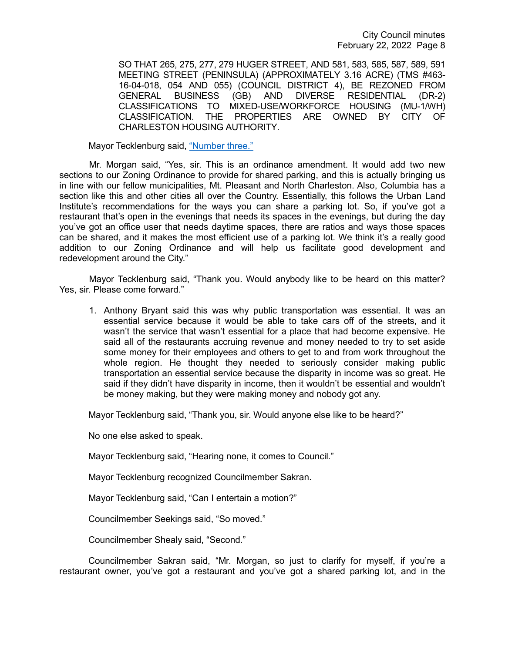City Council minutes February 22, 2022 Page 8

SO THAT 265, 275, 277, 279 HUGER STREET, AND 581, 583, 585, 587, 589, 591 MEETING STREET (PENINSULA) (APPROXIMATELY 3.16 ACRE) (TMS #463- 16-04-018, 054 AND 055) (COUNCIL DISTRICT 4), BE REZONED FROM GENERAL BUSINESS (GB) AND DIVERSE RESIDENTIAL (DR-2) CLASSIFICATIONS TO MIXED-USE/WORKFORCE HOUSING (MU-1/WH) CLASSIFICATION. THE PROPERTIES ARE OWNED BY CITY OF CHARLESTON HOUSING AUTHORITY.

Mayor Tecklenburg said, ["Number three."](https://youtu.be/lG9RkCgUGbI?t=1651)

Mr. Morgan said, "Yes, sir. This is an ordinance amendment. It would add two new sections to our Zoning Ordinance to provide for shared parking, and this is actually bringing us in line with our fellow municipalities, Mt. Pleasant and North Charleston. Also, Columbia has a section like this and other cities all over the Country. Essentially, this follows the Urban Land Institute's recommendations for the ways you can share a parking lot. So, if you've got a restaurant that's open in the evenings that needs its spaces in the evenings, but during the day you've got an office user that needs daytime spaces, there are ratios and ways those spaces can be shared, and it makes the most efficient use of a parking lot. We think it's a really good addition to our Zoning Ordinance and will help us facilitate good development and redevelopment around the City."

Mayor Tecklenburg said, "Thank you. Would anybody like to be heard on this matter? Yes, sir. Please come forward."

1. Anthony Bryant said this was why public transportation was essential. It was an essential service because it would be able to take cars off of the streets, and it wasn't the service that wasn't essential for a place that had become expensive. He said all of the restaurants accruing revenue and money needed to try to set aside some money for their employees and others to get to and from work throughout the whole region. He thought they needed to seriously consider making public transportation an essential service because the disparity in income was so great. He said if they didn't have disparity in income, then it wouldn't be essential and wouldn't be money making, but they were making money and nobody got any.

Mayor Tecklenburg said, "Thank you, sir. Would anyone else like to be heard?"

No one else asked to speak.

Mayor Tecklenburg said, "Hearing none, it comes to Council."

Mayor Tecklenburg recognized Councilmember Sakran.

Mayor Tecklenburg said, "Can I entertain a motion?"

Councilmember Seekings said, "So moved."

Councilmember Shealy said, "Second."

Councilmember Sakran said, "Mr. Morgan, so just to clarify for myself, if you're a restaurant owner, you've got a restaurant and you've got a shared parking lot, and in the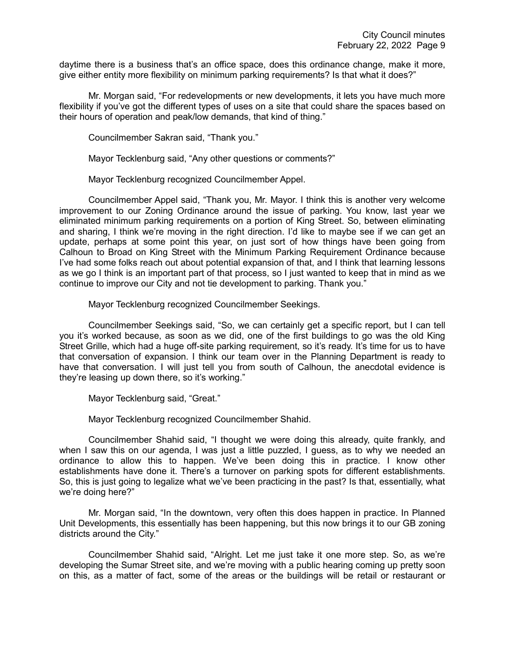daytime there is a business that's an office space, does this ordinance change, make it more, give either entity more flexibility on minimum parking requirements? Is that what it does?"

Mr. Morgan said, "For redevelopments or new developments, it lets you have much more flexibility if you've got the different types of uses on a site that could share the spaces based on their hours of operation and peak/low demands, that kind of thing."

Councilmember Sakran said, "Thank you."

Mayor Tecklenburg said, "Any other questions or comments?"

Mayor Tecklenburg recognized Councilmember Appel.

Councilmember Appel said, "Thank you, Mr. Mayor. I think this is another very welcome improvement to our Zoning Ordinance around the issue of parking. You know, last year we eliminated minimum parking requirements on a portion of King Street. So, between eliminating and sharing, I think we're moving in the right direction. I'd like to maybe see if we can get an update, perhaps at some point this year, on just sort of how things have been going from Calhoun to Broad on King Street with the Minimum Parking Requirement Ordinance because I've had some folks reach out about potential expansion of that, and I think that learning lessons as we go I think is an important part of that process, so I just wanted to keep that in mind as we continue to improve our City and not tie development to parking. Thank you."

Mayor Tecklenburg recognized Councilmember Seekings.

Councilmember Seekings said, "So, we can certainly get a specific report, but I can tell you it's worked because, as soon as we did, one of the first buildings to go was the old King Street Grille, which had a huge off-site parking requirement, so it's ready. It's time for us to have that conversation of expansion. I think our team over in the Planning Department is ready to have that conversation. I will just tell you from south of Calhoun, the anecdotal evidence is they're leasing up down there, so it's working."

Mayor Tecklenburg said, "Great."

Mayor Tecklenburg recognized Councilmember Shahid.

Councilmember Shahid said, "I thought we were doing this already, quite frankly, and when I saw this on our agenda, I was just a little puzzled, I guess, as to why we needed an ordinance to allow this to happen. We've been doing this in practice. I know other establishments have done it. There's a turnover on parking spots for different establishments. So, this is just going to legalize what we've been practicing in the past? Is that, essentially, what we're doing here?"

Mr. Morgan said, "In the downtown, very often this does happen in practice. In Planned Unit Developments, this essentially has been happening, but this now brings it to our GB zoning districts around the City."

Councilmember Shahid said, "Alright. Let me just take it one more step. So, as we're developing the Sumar Street site, and we're moving with a public hearing coming up pretty soon on this, as a matter of fact, some of the areas or the buildings will be retail or restaurant or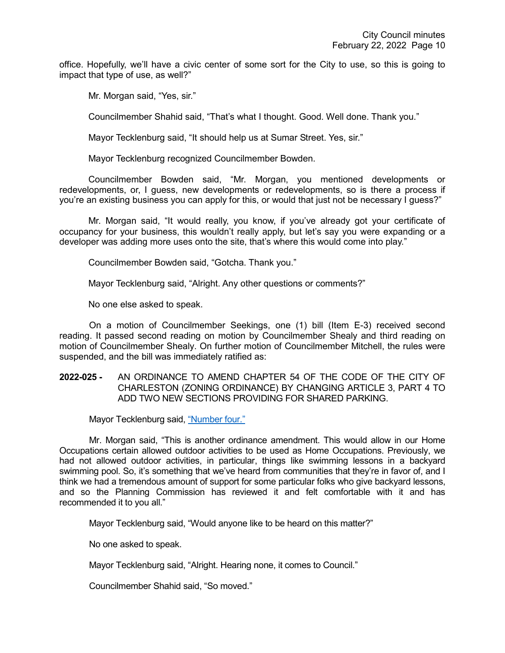office. Hopefully, we'll have a civic center of some sort for the City to use, so this is going to impact that type of use, as well?"

Mr. Morgan said, "Yes, sir."

Councilmember Shahid said, "That's what I thought. Good. Well done. Thank you."

Mayor Tecklenburg said, "It should help us at Sumar Street. Yes, sir."

Mayor Tecklenburg recognized Councilmember Bowden.

Councilmember Bowden said, "Mr. Morgan, you mentioned developments or redevelopments, or, I guess, new developments or redevelopments, so is there a process if you're an existing business you can apply for this, or would that just not be necessary I guess?"

Mr. Morgan said, "It would really, you know, if you've already got your certificate of occupancy for your business, this wouldn't really apply, but let's say you were expanding or a developer was adding more uses onto the site, that's where this would come into play."

Councilmember Bowden said, "Gotcha. Thank you."

Mayor Tecklenburg said, "Alright. Any other questions or comments?"

No one else asked to speak.

On a motion of Councilmember Seekings, one (1) bill (Item E-3) received second reading. It passed second reading on motion by Councilmember Shealy and third reading on motion of Councilmember Shealy. On further motion of Councilmember Mitchell, the rules were suspended, and the bill was immediately ratified as:

### **2022-025 -** AN ORDINANCE TO AMEND CHAPTER 54 OF THE CODE OF THE CITY OF CHARLESTON (ZONING ORDINANCE) BY CHANGING ARTICLE 3, PART 4 TO ADD TWO NEW SECTIONS PROVIDING FOR SHARED PARKING.

Mayor Tecklenburg said, ["Number four."](https://youtu.be/lG9RkCgUGbI?t=2032)

Mr. Morgan said, "This is another ordinance amendment. This would allow in our Home Occupations certain allowed outdoor activities to be used as Home Occupations. Previously, we had not allowed outdoor activities, in particular, things like swimming lessons in a backyard swimming pool. So, it's something that we've heard from communities that they're in favor of, and I think we had a tremendous amount of support for some particular folks who give backyard lessons, and so the Planning Commission has reviewed it and felt comfortable with it and has recommended it to you all."

Mayor Tecklenburg said, "Would anyone like to be heard on this matter?"

No one asked to speak.

Mayor Tecklenburg said, "Alright. Hearing none, it comes to Council."

Councilmember Shahid said, "So moved."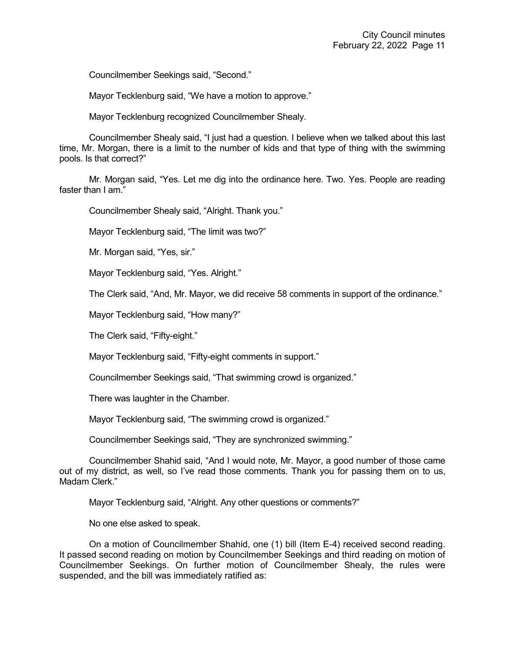Councilmember Seekings said, "Second."

Mayor Tecklenburg said, "We have a motion to approve."

Mayor Tecklenburg recognized Councilmember Shealy.

Councilmember Shealy said, "I just had a question. I believe when we talked about this last time, Mr. Morgan, there is a limit to the number of kids and that type of thing with the swimming pools. Is that correct?"

Mr. Morgan said, "Yes. Let me dig into the ordinance here. Two. Yes. People are reading faster than I am."

Councilmember Shealy said, "Alright. Thank you."

Mayor Tecklenburg said, "The limit was two?"

Mr. Morgan said, "Yes, sir."

Mayor Tecklenburg said, "Yes. Alright."

The Clerk said, "And, Mr. Mayor, we did receive 58 comments in support of the ordinance."

Mayor Tecklenburg said, "How many?"

The Clerk said, "Fifty-eight."

Mayor Tecklenburg said, "Fifty-eight comments in support."

Councilmember Seekings said, "That swimming crowd is organized."

There was laughter in the Chamber.

Mayor Tecklenburg said, "The swimming crowd is organized."

Councilmember Seekings said, "They are synchronized swimming."

Councilmember Shahid said, "And I would note, Mr. Mayor, a good number of those came out of my district, as well, so I've read those comments. Thank you for passing them on to us, Madam Clerk."

Mayor Tecklenburg said, "Alright. Any other questions or comments?"

No one else asked to speak.

On a motion of Councilmember Shahid, one (1) bill (Item E-4) received second reading. It passed second reading on motion by Councilmember Seekings and third reading on motion of Councilmember Seekings. On further motion of Councilmember Shealy, the rules were suspended, and the bill was immediately ratified as: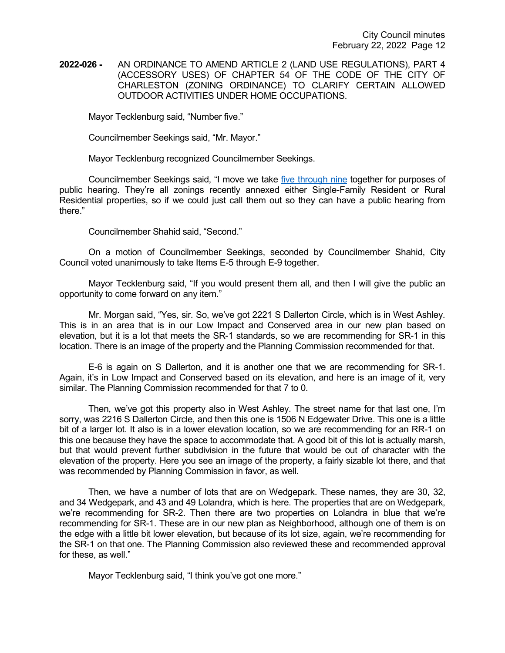## **2022-026 -** AN ORDINANCE TO AMEND ARTICLE 2 (LAND USE REGULATIONS), PART 4 (ACCESSORY USES) OF CHAPTER 54 OF THE CODE OF THE CITY OF CHARLESTON (ZONING ORDINANCE) TO CLARIFY CERTAIN ALLOWED OUTDOOR ACTIVITIES UNDER HOME OCCUPATIONS.

Mayor Tecklenburg said, "Number five."

Councilmember Seekings said, "Mr. Mayor."

Mayor Tecklenburg recognized Councilmember Seekings.

Councilmember Seekings said, "I move we take [five through nine](https://youtu.be/lG9RkCgUGbI?t=2145) together for purposes of public hearing. They're all zonings recently annexed either Single-Family Resident or Rural Residential properties, so if we could just call them out so they can have a public hearing from there."

Councilmember Shahid said, "Second."

On a motion of Councilmember Seekings, seconded by Councilmember Shahid, City Council voted unanimously to take Items E-5 through E-9 together.

Mayor Tecklenburg said, "If you would present them all, and then I will give the public an opportunity to come forward on any item."

Mr. Morgan said, "Yes, sir. So, we've got 2221 S Dallerton Circle, which is in West Ashley. This is in an area that is in our Low Impact and Conserved area in our new plan based on elevation, but it is a lot that meets the SR-1 standards, so we are recommending for SR-1 in this location. There is an image of the property and the Planning Commission recommended for that.

E-6 is again on S Dallerton, and it is another one that we are recommending for SR-1. Again, it's in Low Impact and Conserved based on its elevation, and here is an image of it, very similar. The Planning Commission recommended for that 7 to 0.

Then, we've got this property also in West Ashley. The street name for that last one, I'm sorry, was 2216 S Dallerton Circle, and then this one is 1506 N Edgewater Drive. This one is a little bit of a larger lot. It also is in a lower elevation location, so we are recommending for an RR-1 on this one because they have the space to accommodate that. A good bit of this lot is actually marsh, but that would prevent further subdivision in the future that would be out of character with the elevation of the property. Here you see an image of the property, a fairly sizable lot there, and that was recommended by Planning Commission in favor, as well.

Then, we have a number of lots that are on Wedgepark. These names, they are 30, 32, and 34 Wedgepark, and 43 and 49 Lolandra, which is here. The properties that are on Wedgepark, we're recommending for SR-2. Then there are two properties on Lolandra in blue that we're recommending for SR-1. These are in our new plan as Neighborhood, although one of them is on the edge with a little bit lower elevation, but because of its lot size, again, we're recommending for the SR-1 on that one. The Planning Commission also reviewed these and recommended approval for these, as well."

Mayor Tecklenburg said, "I think you've got one more."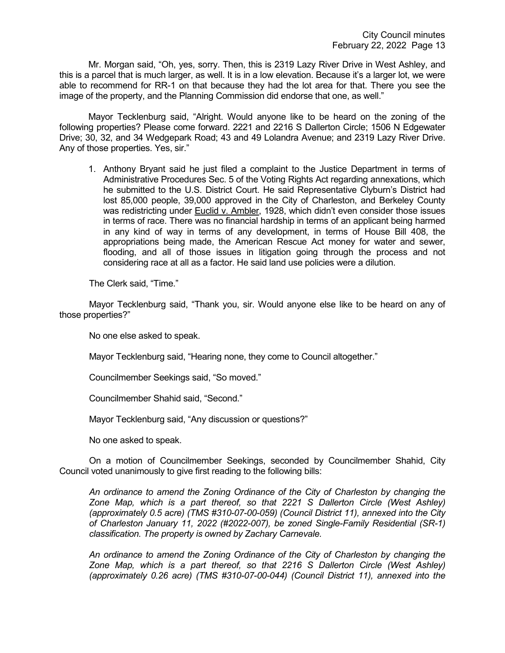Mr. Morgan said, "Oh, yes, sorry. Then, this is 2319 Lazy River Drive in West Ashley, and this is a parcel that is much larger, as well. It is in a low elevation. Because it's a larger lot, we were able to recommend for RR-1 on that because they had the lot area for that. There you see the image of the property, and the Planning Commission did endorse that one, as well."

Mayor Tecklenburg said, "Alright. Would anyone like to be heard on the zoning of the following properties? Please come forward. 2221 and 2216 S Dallerton Circle; 1506 N Edgewater Drive; 30, 32, and 34 Wedgepark Road; 43 and 49 Lolandra Avenue; and 2319 Lazy River Drive. Any of those properties. Yes, sir."

1. Anthony Bryant said he just filed a complaint to the Justice Department in terms of Administrative Procedures Sec. 5 of the Voting Rights Act regarding annexations, which he submitted to the U.S. District Court. He said Representative Clyburn's District had lost 85,000 people, 39,000 approved in the City of Charleston, and Berkeley County was redistricting under Euclid v. Ambler, 1928, which didn't even consider those issues in terms of race. There was no financial hardship in terms of an applicant being harmed in any kind of way in terms of any development, in terms of House Bill 408, the appropriations being made, the American Rescue Act money for water and sewer, flooding, and all of those issues in litigation going through the process and not considering race at all as a factor. He said land use policies were a dilution.

The Clerk said, "Time."

Mayor Tecklenburg said, "Thank you, sir. Would anyone else like to be heard on any of those properties?"

No one else asked to speak.

Mayor Tecklenburg said, "Hearing none, they come to Council altogether."

Councilmember Seekings said, "So moved."

Councilmember Shahid said, "Second."

Mayor Tecklenburg said, "Any discussion or questions?"

No one asked to speak.

On a motion of Councilmember Seekings, seconded by Councilmember Shahid, City Council voted unanimously to give first reading to the following bills:

*An ordinance to amend the Zoning Ordinance of the City of Charleston by changing the Zone Map, which is a part thereof, so that 2221 S Dallerton Circle (West Ashley) (approximately 0.5 acre) (TMS #310-07-00-059) (Council District 11), annexed into the City of Charleston January 11, 2022 (#2022-007), be zoned Single-Family Residential (SR-1) classification. The property is owned by Zachary Carnevale.*

*An ordinance to amend the Zoning Ordinance of the City of Charleston by changing the Zone Map, which is a part thereof, so that 2216 S Dallerton Circle (West Ashley) (approximately 0.26 acre) (TMS #310-07-00-044) (Council District 11), annexed into the*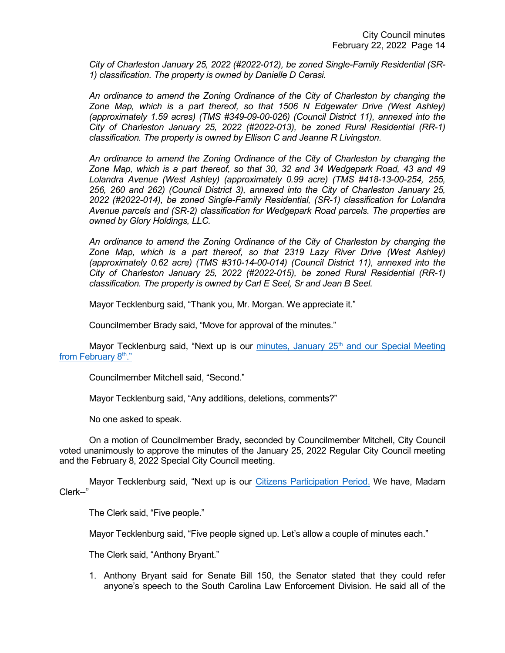*City of Charleston January 25, 2022 (#2022-012), be zoned Single-Family Residential (SR-1) classification. The property is owned by Danielle D Cerasi.*

*An ordinance to amend the Zoning Ordinance of the City of Charleston by changing the Zone Map, which is a part thereof, so that 1506 N Edgewater Drive (West Ashley) (approximately 1.59 acres) (TMS #349-09-00-026) (Council District 11), annexed into the City of Charleston January 25, 2022 (#2022-013), be zoned Rural Residential (RR-1) classification. The property is owned by Ellison C and Jeanne R Livingston.*

*An ordinance to amend the Zoning Ordinance of the City of Charleston by changing the Zone Map, which is a part thereof, so that 30, 32 and 34 Wedgepark Road, 43 and 49 Lolandra Avenue (West Ashley) (approximately 0.99 acre) (TMS #418-13-00-254, 255, 256, 260 and 262) (Council District 3), annexed into the City of Charleston January 25, 2022 (#2022-014), be zoned Single-Family Residential, (SR-1) classification for Lolandra Avenue parcels and (SR-2) classification for Wedgepark Road parcels. The properties are owned by Glory Holdings, LLC.*

*An ordinance to amend the Zoning Ordinance of the City of Charleston by changing the Zone Map, which is a part thereof, so that 2319 Lazy River Drive (West Ashley) (approximately 0.62 acre) (TMS #310-14-00-014) (Council District 11), annexed into the City of Charleston January 25, 2022 (#2022-015), be zoned Rural Residential (RR-1) classification. The property is owned by Carl E Seel, Sr and Jean B Seel.*

Mayor Tecklenburg said, "Thank you, Mr. Morgan. We appreciate it."

Councilmember Brady said, "Move for approval of the minutes."

Mayor Tecklenburg said, "Next up is our minutes, January  $25<sup>th</sup>$  and our Special Meeting from February 8<sup>th</sup>."

Councilmember Mitchell said, "Second."

Mayor Tecklenburg said, "Any additions, deletions, comments?"

No one asked to speak.

On a motion of Councilmember Brady, seconded by Councilmember Mitchell, City Council voted unanimously to approve the minutes of the January 25, 2022 Regular City Council meeting and the February 8, 2022 Special City Council meeting.

Mayor Tecklenburg said, "Next up is our [Citizens Participation Period.](https://youtu.be/lG9RkCgUGbI?t=2481) We have, Madam Clerk--"

The Clerk said, "Five people."

Mayor Tecklenburg said, "Five people signed up. Let's allow a couple of minutes each."

The Clerk said, "Anthony Bryant."

1. Anthony Bryant said for Senate Bill 150, the Senator stated that they could refer anyone's speech to the South Carolina Law Enforcement Division. He said all of the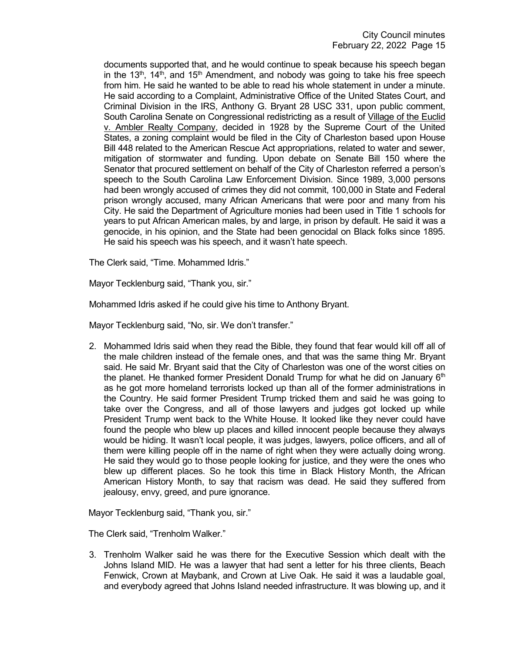documents supported that, and he would continue to speak because his speech began in the 13<sup>th</sup>, 14<sup>th</sup>, and 15<sup>th</sup> Amendment, and nobody was going to take his free speech from him. He said he wanted to be able to read his whole statement in under a minute. He said according to a Complaint, Administrative Office of the United States Court, and Criminal Division in the IRS, Anthony G. Bryant 28 USC 331, upon public comment, South Carolina Senate on Congressional redistricting as a result of Village of the Euclid v. Ambler Realty Company, decided in 1928 by the Supreme Court of the United States, a zoning complaint would be filed in the City of Charleston based upon House Bill 448 related to the American Rescue Act appropriations, related to water and sewer, mitigation of stormwater and funding. Upon debate on Senate Bill 150 where the Senator that procured settlement on behalf of the City of Charleston referred a person's speech to the South Carolina Law Enforcement Division. Since 1989, 3,000 persons had been wrongly accused of crimes they did not commit, 100,000 in State and Federal prison wrongly accused, many African Americans that were poor and many from his City. He said the Department of Agriculture monies had been used in Title 1 schools for years to put African American males, by and large, in prison by default. He said it was a genocide, in his opinion, and the State had been genocidal on Black folks since 1895. He said his speech was his speech, and it wasn't hate speech.

The Clerk said, "Time. Mohammed Idris."

Mayor Tecklenburg said, "Thank you, sir."

Mohammed Idris asked if he could give his time to Anthony Bryant.

Mayor Tecklenburg said, "No, sir. We don't transfer."

2. Mohammed Idris said when they read the Bible, they found that fear would kill off all of the male children instead of the female ones, and that was the same thing Mr. Bryant said. He said Mr. Bryant said that the City of Charleston was one of the worst cities on the planet. He thanked former President Donald Trump for what he did on January  $6<sup>th</sup>$ as he got more homeland terrorists locked up than all of the former administrations in the Country. He said former President Trump tricked them and said he was going to take over the Congress, and all of those lawyers and judges got locked up while President Trump went back to the White House. It looked like they never could have found the people who blew up places and killed innocent people because they always would be hiding. It wasn't local people, it was judges, lawyers, police officers, and all of them were killing people off in the name of right when they were actually doing wrong. He said they would go to those people looking for justice, and they were the ones who blew up different places. So he took this time in Black History Month, the African American History Month, to say that racism was dead. He said they suffered from jealousy, envy, greed, and pure ignorance.

Mayor Tecklenburg said, "Thank you, sir."

The Clerk said, "Trenholm Walker."

3. Trenholm Walker said he was there for the Executive Session which dealt with the Johns Island MID. He was a lawyer that had sent a letter for his three clients, Beach Fenwick, Crown at Maybank, and Crown at Live Oak. He said it was a laudable goal, and everybody agreed that Johns Island needed infrastructure. It was blowing up, and it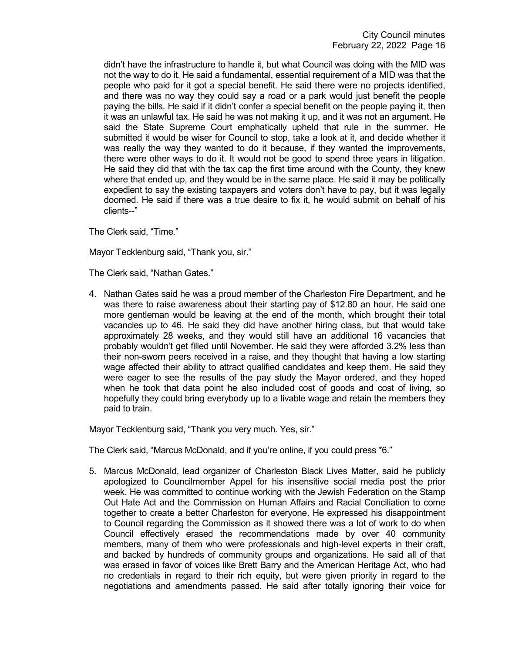didn't have the infrastructure to handle it, but what Council was doing with the MID was not the way to do it. He said a fundamental, essential requirement of a MID was that the people who paid for it got a special benefit. He said there were no projects identified, and there was no way they could say a road or a park would just benefit the people paying the bills. He said if it didn't confer a special benefit on the people paying it, then it was an unlawful tax. He said he was not making it up, and it was not an argument. He said the State Supreme Court emphatically upheld that rule in the summer. He submitted it would be wiser for Council to stop, take a look at it, and decide whether it was really the way they wanted to do it because, if they wanted the improvements, there were other ways to do it. It would not be good to spend three years in litigation. He said they did that with the tax cap the first time around with the County, they knew where that ended up, and they would be in the same place. He said it may be politically expedient to say the existing taxpayers and voters don't have to pay, but it was legally doomed. He said if there was a true desire to fix it, he would submit on behalf of his clients--"

The Clerk said, "Time."

Mayor Tecklenburg said, "Thank you, sir."

The Clerk said, "Nathan Gates."

4. Nathan Gates said he was a proud member of the Charleston Fire Department, and he was there to raise awareness about their starting pay of \$12.80 an hour. He said one more gentleman would be leaving at the end of the month, which brought their total vacancies up to 46. He said they did have another hiring class, but that would take approximately 28 weeks, and they would still have an additional 16 vacancies that probably wouldn't get filled until November. He said they were afforded 3.2% less than their non-sworn peers received in a raise, and they thought that having a low starting wage affected their ability to attract qualified candidates and keep them. He said they were eager to see the results of the pay study the Mayor ordered, and they hoped when he took that data point he also included cost of goods and cost of living, so hopefully they could bring everybody up to a livable wage and retain the members they paid to train.

Mayor Tecklenburg said, "Thank you very much. Yes, sir."

The Clerk said, "Marcus McDonald, and if you're online, if you could press \*6."

5. Marcus McDonald, lead organizer of Charleston Black Lives Matter, said he publicly apologized to Councilmember Appel for his insensitive social media post the prior week. He was committed to continue working with the Jewish Federation on the Stamp Out Hate Act and the Commission on Human Affairs and Racial Conciliation to come together to create a better Charleston for everyone. He expressed his disappointment to Council regarding the Commission as it showed there was a lot of work to do when Council effectively erased the recommendations made by over 40 community members, many of them who were professionals and high-level experts in their craft, and backed by hundreds of community groups and organizations. He said all of that was erased in favor of voices like Brett Barry and the American Heritage Act, who had no credentials in regard to their rich equity, but were given priority in regard to the negotiations and amendments passed. He said after totally ignoring their voice for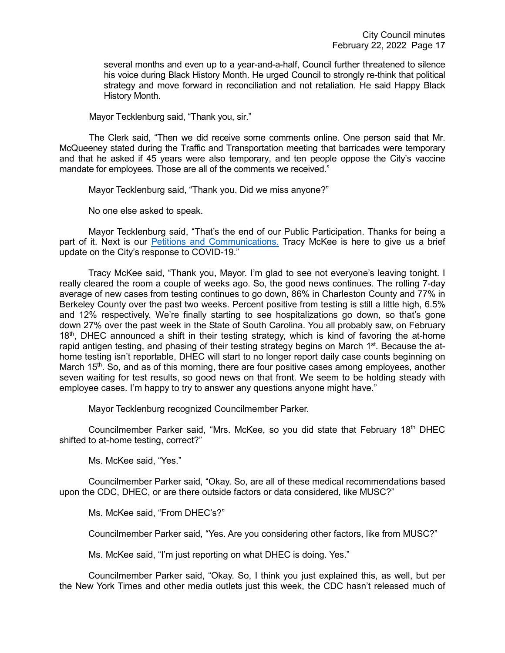several months and even up to a year-and-a-half, Council further threatened to silence his voice during Black History Month. He urged Council to strongly re-think that political strategy and move forward in reconciliation and not retaliation. He said Happy Black History Month.

Mayor Tecklenburg said, "Thank you, sir."

The Clerk said, "Then we did receive some comments online. One person said that Mr. McQueeney stated during the Traffic and Transportation meeting that barricades were temporary and that he asked if 45 years were also temporary, and ten people oppose the City's vaccine mandate for employees. Those are all of the comments we received."

Mayor Tecklenburg said, "Thank you. Did we miss anyone?"

No one else asked to speak.

Mayor Tecklenburg said, "That's the end of our Public Participation. Thanks for being a part of it. Next is our [Petitions and Communications.](https://youtu.be/lG9RkCgUGbI?t=3088) Tracy McKee is here to give us a brief update on the City's response to COVID-19."

Tracy McKee said, "Thank you, Mayor. I'm glad to see not everyone's leaving tonight. I really cleared the room a couple of weeks ago. So, the good news continues. The rolling 7-day average of new cases from testing continues to go down, 86% in Charleston County and 77% in Berkeley County over the past two weeks. Percent positive from testing is still a little high, 6.5% and 12% respectively. We're finally starting to see hospitalizations go down, so that's gone down 27% over the past week in the State of South Carolina. You all probably saw, on February  $18<sup>th</sup>$ , DHEC announced a shift in their testing strategy, which is kind of favoring the at-home rapid antigen testing, and phasing of their testing strategy begins on March  $1<sup>st</sup>$ . Because the athome testing isn't reportable, DHEC will start to no longer report daily case counts beginning on March 15<sup>th</sup>. So, and as of this morning, there are four positive cases among employees, another seven waiting for test results, so good news on that front. We seem to be holding steady with employee cases. I'm happy to try to answer any questions anyone might have."

Mayor Tecklenburg recognized Councilmember Parker.

Councilmember Parker said, "Mrs. McKee, so you did state that February 18th DHEC shifted to at-home testing, correct?"

Ms. McKee said, "Yes."

Councilmember Parker said, "Okay. So, are all of these medical recommendations based upon the CDC, DHEC, or are there outside factors or data considered, like MUSC?"

Ms. McKee said, "From DHEC's?"

Councilmember Parker said, "Yes. Are you considering other factors, like from MUSC?"

Ms. McKee said, "I'm just reporting on what DHEC is doing. Yes."

Councilmember Parker said, "Okay. So, I think you just explained this, as well, but per the New York Times and other media outlets just this week, the CDC hasn't released much of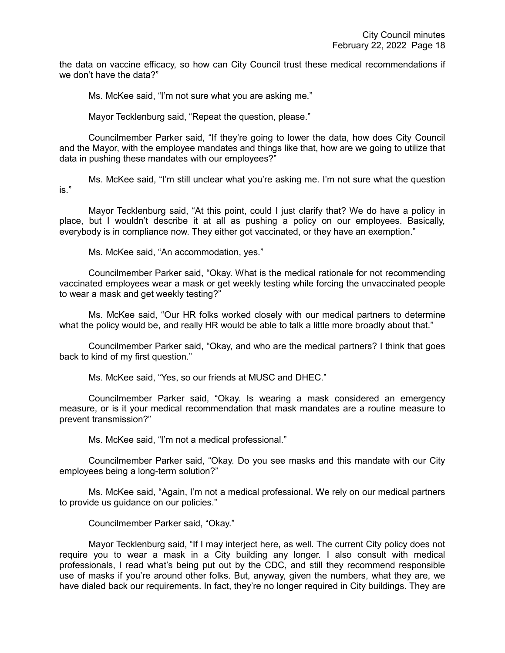the data on vaccine efficacy, so how can City Council trust these medical recommendations if we don't have the data?"

Ms. McKee said, "I'm not sure what you are asking me."

Mayor Tecklenburg said, "Repeat the question, please."

Councilmember Parker said, "If they're going to lower the data, how does City Council and the Mayor, with the employee mandates and things like that, how are we going to utilize that data in pushing these mandates with our employees?"

Ms. McKee said, "I'm still unclear what you're asking me. I'm not sure what the question is."

Mayor Tecklenburg said, "At this point, could I just clarify that? We do have a policy in place, but I wouldn't describe it at all as pushing a policy on our employees. Basically, everybody is in compliance now. They either got vaccinated, or they have an exemption."

Ms. McKee said, "An accommodation, yes."

Councilmember Parker said, "Okay. What is the medical rationale for not recommending vaccinated employees wear a mask or get weekly testing while forcing the unvaccinated people to wear a mask and get weekly testing?"

Ms. McKee said, "Our HR folks worked closely with our medical partners to determine what the policy would be, and really HR would be able to talk a little more broadly about that."

Councilmember Parker said, "Okay, and who are the medical partners? I think that goes back to kind of my first question."

Ms. McKee said, "Yes, so our friends at MUSC and DHEC."

Councilmember Parker said, "Okay. Is wearing a mask considered an emergency measure, or is it your medical recommendation that mask mandates are a routine measure to prevent transmission?"

Ms. McKee said, "I'm not a medical professional."

Councilmember Parker said, "Okay. Do you see masks and this mandate with our City employees being a long-term solution?"

Ms. McKee said, "Again, I'm not a medical professional. We rely on our medical partners to provide us guidance on our policies."

Councilmember Parker said, "Okay."

Mayor Tecklenburg said, "If I may interject here, as well. The current City policy does not require you to wear a mask in a City building any longer. I also consult with medical professionals, I read what's being put out by the CDC, and still they recommend responsible use of masks if you're around other folks. But, anyway, given the numbers, what they are, we have dialed back our requirements. In fact, they're no longer required in City buildings. They are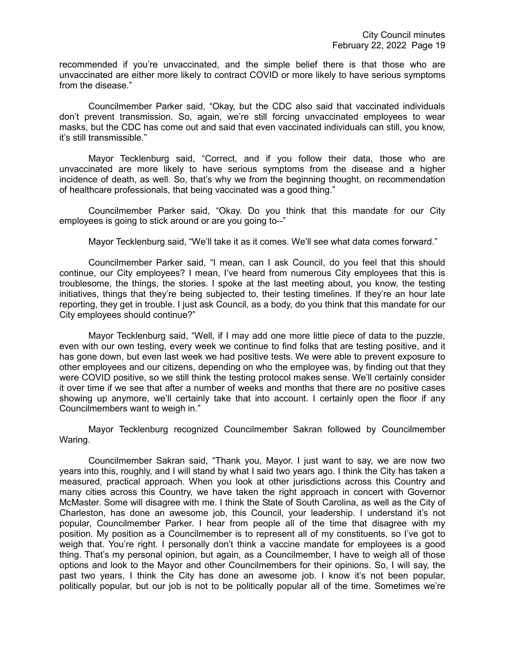recommended if you're unvaccinated, and the simple belief there is that those who are unvaccinated are either more likely to contract COVID or more likely to have serious symptoms from the disease."

Councilmember Parker said, "Okay, but the CDC also said that vaccinated individuals don't prevent transmission. So, again, we're still forcing unvaccinated employees to wear masks, but the CDC has come out and said that even vaccinated individuals can still, you know, it's still transmissible."

Mayor Tecklenburg said, "Correct, and if you follow their data, those who are unvaccinated are more likely to have serious symptoms from the disease and a higher incidence of death, as well. So, that's why we from the beginning thought, on recommendation of healthcare professionals, that being vaccinated was a good thing."

Councilmember Parker said, "Okay. Do you think that this mandate for our City employees is going to stick around or are you going to--"

Mayor Tecklenburg said, "We'll take it as it comes. We'll see what data comes forward."

Councilmember Parker said, "I mean, can I ask Council, do you feel that this should continue, our City employees? I mean, I've heard from numerous City employees that this is troublesome, the things, the stories. I spoke at the last meeting about, you know, the testing initiatives, things that they're being subjected to, their testing timelines. If they're an hour late reporting, they get in trouble. I just ask Council, as a body, do you think that this mandate for our City employees should continue?"

Mayor Tecklenburg said, "Well, if I may add one more little piece of data to the puzzle, even with our own testing, every week we continue to find folks that are testing positive, and it has gone down, but even last week we had positive tests. We were able to prevent exposure to other employees and our citizens, depending on who the employee was, by finding out that they were COVID positive, so we still think the testing protocol makes sense. We'll certainly consider it over time if we see that after a number of weeks and months that there are no positive cases showing up anymore, we'll certainly take that into account. I certainly open the floor if any Councilmembers want to weigh in."

Mayor Tecklenburg recognized Councilmember Sakran followed by Councilmember Waring.

Councilmember Sakran said, "Thank you, Mayor. I just want to say, we are now two years into this, roughly, and I will stand by what I said two years ago. I think the City has taken a measured, practical approach. When you look at other jurisdictions across this Country and many cities across this Country, we have taken the right approach in concert with Governor McMaster. Some will disagree with me. I think the State of South Carolina, as well as the City of Charleston, has done an awesome job, this Council, your leadership. I understand it's not popular, Councilmember Parker. I hear from people all of the time that disagree with my position. My position as a Councilmember is to represent all of my constituents, so I've got to weigh that. You're right. I personally don't think a vaccine mandate for employees is a good thing. That's my personal opinion, but again, as a Councilmember, I have to weigh all of those options and look to the Mayor and other Councilmembers for their opinions. So, I will say, the past two years, I think the City has done an awesome job. I know it's not been popular, politically popular, but our job is not to be politically popular all of the time. Sometimes we're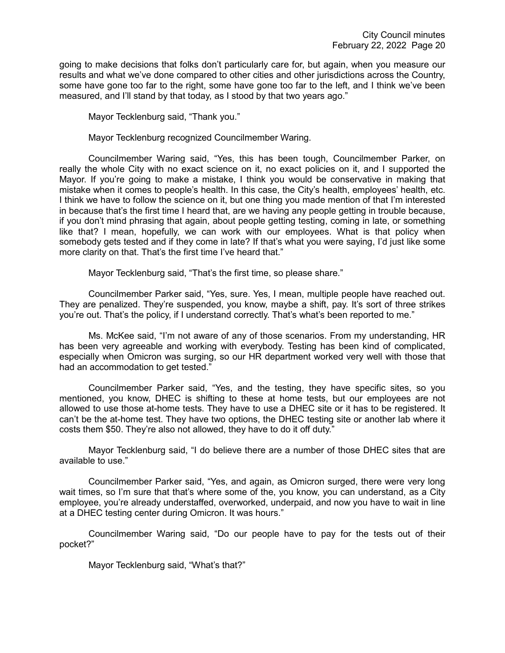going to make decisions that folks don't particularly care for, but again, when you measure our results and what we've done compared to other cities and other jurisdictions across the Country, some have gone too far to the right, some have gone too far to the left, and I think we've been measured, and I'll stand by that today, as I stood by that two years ago."

Mayor Tecklenburg said, "Thank you."

Mayor Tecklenburg recognized Councilmember Waring.

Councilmember Waring said, "Yes, this has been tough, Councilmember Parker, on really the whole City with no exact science on it, no exact policies on it, and I supported the Mayor. If you're going to make a mistake, I think you would be conservative in making that mistake when it comes to people's health. In this case, the City's health, employees' health, etc. I think we have to follow the science on it, but one thing you made mention of that I'm interested in because that's the first time I heard that, are we having any people getting in trouble because, if you don't mind phrasing that again, about people getting testing, coming in late, or something like that? I mean, hopefully, we can work with our employees. What is that policy when somebody gets tested and if they come in late? If that's what you were saying, I'd just like some more clarity on that. That's the first time I've heard that."

Mayor Tecklenburg said, "That's the first time, so please share."

Councilmember Parker said, "Yes, sure. Yes, I mean, multiple people have reached out. They are penalized. They're suspended, you know, maybe a shift, pay. It's sort of three strikes you're out. That's the policy, if I understand correctly. That's what's been reported to me."

Ms. McKee said, "I'm not aware of any of those scenarios. From my understanding, HR has been very agreeable and working with everybody. Testing has been kind of complicated, especially when Omicron was surging, so our HR department worked very well with those that had an accommodation to get tested."

Councilmember Parker said, "Yes, and the testing, they have specific sites, so you mentioned, you know, DHEC is shifting to these at home tests, but our employees are not allowed to use those at-home tests. They have to use a DHEC site or it has to be registered. It can't be the at-home test. They have two options, the DHEC testing site or another lab where it costs them \$50. They're also not allowed, they have to do it off duty."

Mayor Tecklenburg said, "I do believe there are a number of those DHEC sites that are available to use."

Councilmember Parker said, "Yes, and again, as Omicron surged, there were very long wait times, so I'm sure that that's where some of the, you know, you can understand, as a City employee, you're already understaffed, overworked, underpaid, and now you have to wait in line at a DHEC testing center during Omicron. It was hours."

Councilmember Waring said, "Do our people have to pay for the tests out of their pocket?"

Mayor Tecklenburg said, "What's that?"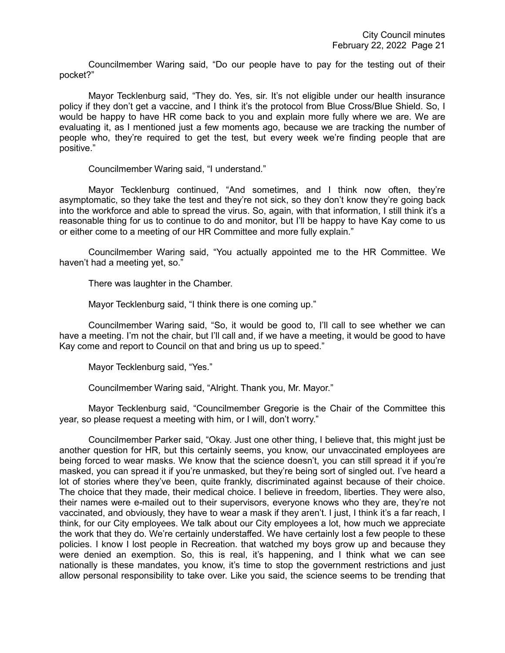Councilmember Waring said, "Do our people have to pay for the testing out of their pocket?"

Mayor Tecklenburg said, "They do. Yes, sir. It's not eligible under our health insurance policy if they don't get a vaccine, and I think it's the protocol from Blue Cross/Blue Shield. So, I would be happy to have HR come back to you and explain more fully where we are. We are evaluating it, as I mentioned just a few moments ago, because we are tracking the number of people who, they're required to get the test, but every week we're finding people that are positive."

Councilmember Waring said, "I understand."

Mayor Tecklenburg continued, "And sometimes, and I think now often, they're asymptomatic, so they take the test and they're not sick, so they don't know they're going back into the workforce and able to spread the virus. So, again, with that information, I still think it's a reasonable thing for us to continue to do and monitor, but I'll be happy to have Kay come to us or either come to a meeting of our HR Committee and more fully explain."

Councilmember Waring said, "You actually appointed me to the HR Committee. We haven't had a meeting yet, so."

There was laughter in the Chamber.

Mayor Tecklenburg said, "I think there is one coming up."

Councilmember Waring said, "So, it would be good to, I'll call to see whether we can have a meeting. I'm not the chair, but I'll call and, if we have a meeting, it would be good to have Kay come and report to Council on that and bring us up to speed."

Mayor Tecklenburg said, "Yes."

Councilmember Waring said, "Alright. Thank you, Mr. Mayor."

Mayor Tecklenburg said, "Councilmember Gregorie is the Chair of the Committee this year, so please request a meeting with him, or I will, don't worry."

Councilmember Parker said, "Okay. Just one other thing, I believe that, this might just be another question for HR, but this certainly seems, you know, our unvaccinated employees are being forced to wear masks. We know that the science doesn't, you can still spread it if you're masked, you can spread it if you're unmasked, but they're being sort of singled out. I've heard a lot of stories where they've been, quite frankly, discriminated against because of their choice. The choice that they made, their medical choice. I believe in freedom, liberties. They were also, their names were e-mailed out to their supervisors, everyone knows who they are, they're not vaccinated, and obviously, they have to wear a mask if they aren't. I just, I think it's a far reach, I think, for our City employees. We talk about our City employees a lot, how much we appreciate the work that they do. We're certainly understaffed. We have certainly lost a few people to these policies. I know I lost people in Recreation. that watched my boys grow up and because they were denied an exemption. So, this is real, it's happening, and I think what we can see nationally is these mandates, you know, it's time to stop the government restrictions and just allow personal responsibility to take over. Like you said, the science seems to be trending that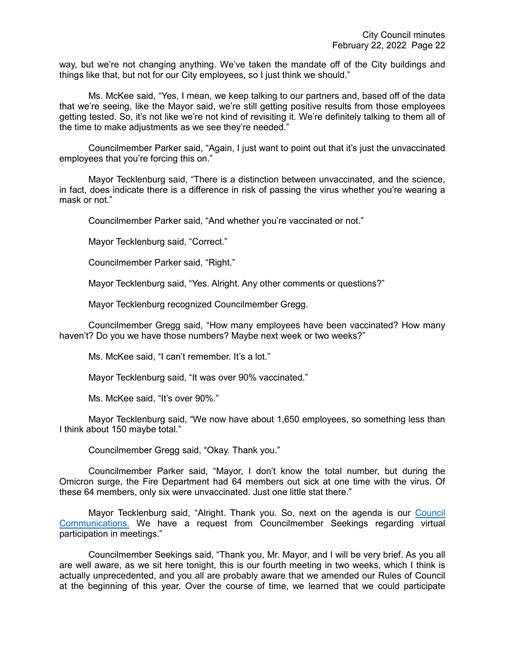way, but we're not changing anything. We've taken the mandate off of the City buildings and things like that, but not for our City employees, so I just think we should."

Ms. McKee said, "Yes, I mean, we keep talking to our partners and, based off of the data that we're seeing, like the Mayor said, we're still getting positive results from those employees getting tested. So, it's not like we're not kind of revisiting it. We're definitely talking to them all of the time to make adjustments as we see they're needed."

Councilmember Parker said, "Again, I just want to point out that it's just the unvaccinated employees that you're forcing this on."

Mayor Tecklenburg said, "There is a distinction between unvaccinated, and the science, in fact, does indicate there is a difference in risk of passing the virus whether you're wearing a mask or not."

Councilmember Parker said, "And whether you're vaccinated or not."

Mayor Tecklenburg said, "Correct."

Councilmember Parker said, "Right."

Mayor Tecklenburg said, "Yes. Alright. Any other comments or questions?"

Mayor Tecklenburg recognized Councilmember Gregg.

Councilmember Gregg said, "How many employees have been vaccinated? How many haven't? Do you we have those numbers? Maybe next week or two weeks?"

Ms. McKee said, "I can't remember. It's a lot."

Mayor Tecklenburg said, "It was over 90% vaccinated."

Ms. McKee said, "It's over 90%."

Mayor Tecklenburg said, "We now have about 1,650 employees, so something less than I think about 150 maybe total."

Councilmember Gregg said, "Okay. Thank you."

Councilmember Parker said, "Mayor, I don't know the total number, but during the Omicron surge, the Fire Department had 64 members out sick at one time with the virus. Of these 64 members, only six were unvaccinated. Just one little stat there."

Mayor Tecklenburg said, "Alright. Thank you. So, next on the agenda is our Council [Communications.](https://youtu.be/lG9RkCgUGbI?t=4101) We have a request from Councilmember Seekings regarding virtual participation in meetings."

Councilmember Seekings said, "Thank you, Mr. Mayor, and I will be very brief. As you all are well aware, as we sit here tonight, this is our fourth meeting in two weeks, which I think is actually unprecedented, and you all are probably aware that we amended our Rules of Council at the beginning of this year. Over the course of time, we learned that we could participate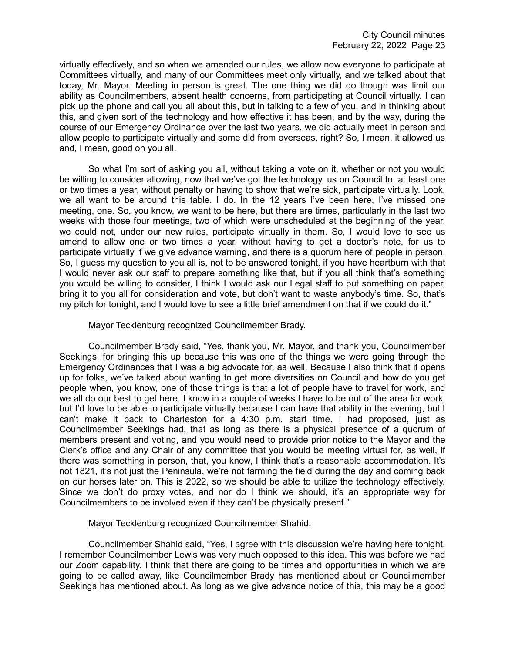virtually effectively, and so when we amended our rules, we allow now everyone to participate at Committees virtually, and many of our Committees meet only virtually, and we talked about that today, Mr. Mayor. Meeting in person is great. The one thing we did do though was limit our ability as Councilmembers, absent health concerns, from participating at Council virtually. I can pick up the phone and call you all about this, but in talking to a few of you, and in thinking about this, and given sort of the technology and how effective it has been, and by the way, during the course of our Emergency Ordinance over the last two years, we did actually meet in person and allow people to participate virtually and some did from overseas, right? So, I mean, it allowed us and, I mean, good on you all.

So what I'm sort of asking you all, without taking a vote on it, whether or not you would be willing to consider allowing, now that we've got the technology, us on Council to, at least one or two times a year, without penalty or having to show that we're sick, participate virtually. Look, we all want to be around this table. I do. In the 12 years I've been here, I've missed one meeting, one. So, you know, we want to be here, but there are times, particularly in the last two weeks with those four meetings, two of which were unscheduled at the beginning of the year, we could not, under our new rules, participate virtually in them. So, I would love to see us amend to allow one or two times a year, without having to get a doctor's note, for us to participate virtually if we give advance warning, and there is a quorum here of people in person. So, I guess my question to you all is, not to be answered tonight, if you have heartburn with that I would never ask our staff to prepare something like that, but if you all think that's something you would be willing to consider, I think I would ask our Legal staff to put something on paper, bring it to you all for consideration and vote, but don't want to waste anybody's time. So, that's my pitch for tonight, and I would love to see a little brief amendment on that if we could do it."

Mayor Tecklenburg recognized Councilmember Brady.

Councilmember Brady said, "Yes, thank you, Mr. Mayor, and thank you, Councilmember Seekings, for bringing this up because this was one of the things we were going through the Emergency Ordinances that I was a big advocate for, as well. Because I also think that it opens up for folks, we've talked about wanting to get more diversities on Council and how do you get people when, you know, one of those things is that a lot of people have to travel for work, and we all do our best to get here. I know in a couple of weeks I have to be out of the area for work, but I'd love to be able to participate virtually because I can have that ability in the evening, but I can't make it back to Charleston for a 4:30 p.m. start time. I had proposed, just as Councilmember Seekings had, that as long as there is a physical presence of a quorum of members present and voting, and you would need to provide prior notice to the Mayor and the Clerk's office and any Chair of any committee that you would be meeting virtual for, as well, if there was something in person, that, you know, I think that's a reasonable accommodation. It's not 1821, it's not just the Peninsula, we're not farming the field during the day and coming back on our horses later on. This is 2022, so we should be able to utilize the technology effectively. Since we don't do proxy votes, and nor do I think we should, it's an appropriate way for Councilmembers to be involved even if they can't be physically present."

Mayor Tecklenburg recognized Councilmember Shahid.

Councilmember Shahid said, "Yes, I agree with this discussion we're having here tonight. I remember Councilmember Lewis was very much opposed to this idea. This was before we had our Zoom capability. I think that there are going to be times and opportunities in which we are going to be called away, like Councilmember Brady has mentioned about or Councilmember Seekings has mentioned about. As long as we give advance notice of this, this may be a good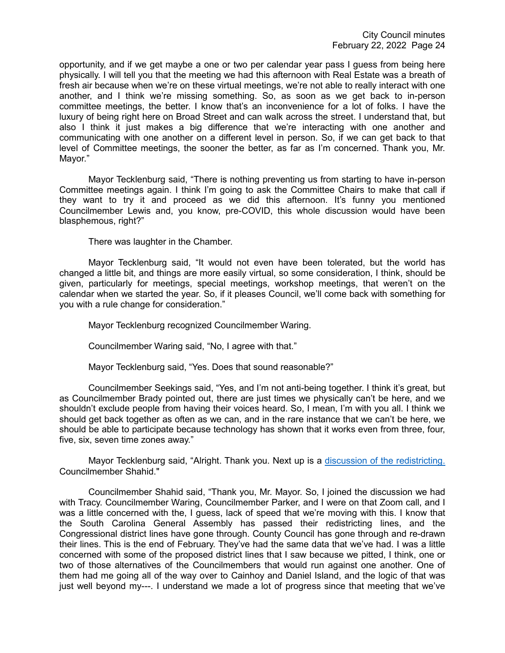opportunity, and if we get maybe a one or two per calendar year pass I guess from being here physically. I will tell you that the meeting we had this afternoon with Real Estate was a breath of fresh air because when we're on these virtual meetings, we're not able to really interact with one another, and I think we're missing something. So, as soon as we get back to in-person committee meetings, the better. I know that's an inconvenience for a lot of folks. I have the luxury of being right here on Broad Street and can walk across the street. I understand that, but also I think it just makes a big difference that we're interacting with one another and communicating with one another on a different level in person. So, if we can get back to that level of Committee meetings, the sooner the better, as far as I'm concerned. Thank you, Mr. Mayor."

Mayor Tecklenburg said, "There is nothing preventing us from starting to have in-person Committee meetings again. I think I'm going to ask the Committee Chairs to make that call if they want to try it and proceed as we did this afternoon. It's funny you mentioned Councilmember Lewis and, you know, pre-COVID, this whole discussion would have been blasphemous, right?"

There was laughter in the Chamber.

Mayor Tecklenburg said, "It would not even have been tolerated, but the world has changed a little bit, and things are more easily virtual, so some consideration, I think, should be given, particularly for meetings, special meetings, workshop meetings, that weren't on the calendar when we started the year. So, if it pleases Council, we'll come back with something for you with a rule change for consideration."

Mayor Tecklenburg recognized Councilmember Waring.

Councilmember Waring said, "No, I agree with that."

Mayor Tecklenburg said, "Yes. Does that sound reasonable?"

Councilmember Seekings said, "Yes, and I'm not anti-being together. I think it's great, but as Councilmember Brady pointed out, there are just times we physically can't be here, and we shouldn't exclude people from having their voices heard. So, I mean, I'm with you all. I think we should get back together as often as we can, and in the rare instance that we can't be here, we should be able to participate because technology has shown that it works even from three, four, five, six, seven time zones away."

Mayor Tecklenburg said, "Alright. Thank you. Next up is a [discussion of the redistricting.](https://youtu.be/lG9RkCgUGbI?t=4507) Councilmember Shahid."

Councilmember Shahid said, "Thank you, Mr. Mayor. So, I joined the discussion we had with Tracy. Councilmember Waring, Councilmember Parker, and I were on that Zoom call, and I was a little concerned with the, I guess, lack of speed that we're moving with this. I know that the South Carolina General Assembly has passed their redistricting lines, and the Congressional district lines have gone through. County Council has gone through and re-drawn their lines. This is the end of February. They've had the same data that we've had. I was a little concerned with some of the proposed district lines that I saw because we pitted, I think, one or two of those alternatives of the Councilmembers that would run against one another. One of them had me going all of the way over to Cainhoy and Daniel Island, and the logic of that was just well beyond my---. I understand we made a lot of progress since that meeting that we've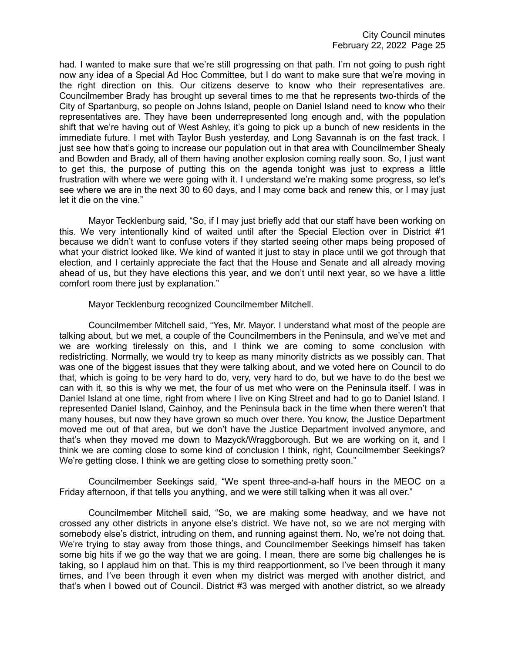had. I wanted to make sure that we're still progressing on that path. I'm not going to push right now any idea of a Special Ad Hoc Committee, but I do want to make sure that we're moving in the right direction on this. Our citizens deserve to know who their representatives are. Councilmember Brady has brought up several times to me that he represents two-thirds of the City of Spartanburg, so people on Johns Island, people on Daniel Island need to know who their representatives are. They have been underrepresented long enough and, with the population shift that we're having out of West Ashley, it's going to pick up a bunch of new residents in the immediate future. I met with Taylor Bush yesterday, and Long Savannah is on the fast track. I just see how that's going to increase our population out in that area with Councilmember Shealy and Bowden and Brady, all of them having another explosion coming really soon. So, I just want to get this, the purpose of putting this on the agenda tonight was just to express a little frustration with where we were going with it. I understand we're making some progress, so let's see where we are in the next 30 to 60 days, and I may come back and renew this, or I may just let it die on the vine."

Mayor Tecklenburg said, "So, if I may just briefly add that our staff have been working on this. We very intentionally kind of waited until after the Special Election over in District #1 because we didn't want to confuse voters if they started seeing other maps being proposed of what your district looked like. We kind of wanted it just to stay in place until we got through that election, and I certainly appreciate the fact that the House and Senate and all already moving ahead of us, but they have elections this year, and we don't until next year, so we have a little comfort room there just by explanation."

Mayor Tecklenburg recognized Councilmember Mitchell.

Councilmember Mitchell said, "Yes, Mr. Mayor. I understand what most of the people are talking about, but we met, a couple of the Councilmembers in the Peninsula, and we've met and we are working tirelessly on this, and I think we are coming to some conclusion with redistricting. Normally, we would try to keep as many minority districts as we possibly can. That was one of the biggest issues that they were talking about, and we voted here on Council to do that, which is going to be very hard to do, very, very hard to do, but we have to do the best we can with it, so this is why we met, the four of us met who were on the Peninsula itself. I was in Daniel Island at one time, right from where I live on King Street and had to go to Daniel Island. I represented Daniel Island, Cainhoy, and the Peninsula back in the time when there weren't that many houses, but now they have grown so much over there. You know, the Justice Department moved me out of that area, but we don't have the Justice Department involved anymore, and that's when they moved me down to Mazyck/Wraggborough. But we are working on it, and I think we are coming close to some kind of conclusion I think, right, Councilmember Seekings? We're getting close. I think we are getting close to something pretty soon."

Councilmember Seekings said, "We spent three-and-a-half hours in the MEOC on a Friday afternoon, if that tells you anything, and we were still talking when it was all over."

Councilmember Mitchell said, "So, we are making some headway, and we have not crossed any other districts in anyone else's district. We have not, so we are not merging with somebody else's district, intruding on them, and running against them. No, we're not doing that. We're trying to stay away from those things, and Councilmember Seekings himself has taken some big hits if we go the way that we are going. I mean, there are some big challenges he is taking, so I applaud him on that. This is my third reapportionment, so I've been through it many times, and I've been through it even when my district was merged with another district, and that's when I bowed out of Council. District #3 was merged with another district, so we already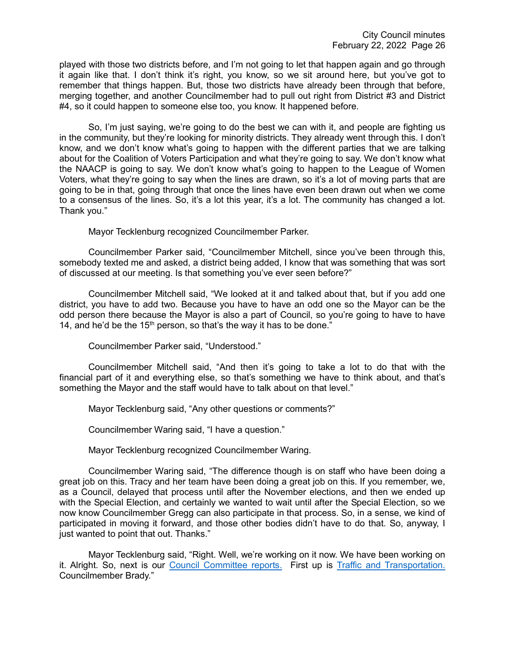played with those two districts before, and I'm not going to let that happen again and go through it again like that. I don't think it's right, you know, so we sit around here, but you've got to remember that things happen. But, those two districts have already been through that before, merging together, and another Councilmember had to pull out right from District #3 and District #4, so it could happen to someone else too, you know. It happened before.

So, I'm just saying, we're going to do the best we can with it, and people are fighting us in the community, but they're looking for minority districts. They already went through this. I don't know, and we don't know what's going to happen with the different parties that we are talking about for the Coalition of Voters Participation and what they're going to say. We don't know what the NAACP is going to say. We don't know what's going to happen to the League of Women Voters, what they're going to say when the lines are drawn, so it's a lot of moving parts that are going to be in that, going through that once the lines have even been drawn out when we come to a consensus of the lines. So, it's a lot this year, it's a lot. The community has changed a lot. Thank you."

Mayor Tecklenburg recognized Councilmember Parker.

Councilmember Parker said, "Councilmember Mitchell, since you've been through this, somebody texted me and asked, a district being added, I know that was something that was sort of discussed at our meeting. Is that something you've ever seen before?"

Councilmember Mitchell said, "We looked at it and talked about that, but if you add one district, you have to add two. Because you have to have an odd one so the Mayor can be the odd person there because the Mayor is also a part of Council, so you're going to have to have 14, and he'd be the  $15<sup>th</sup>$  person, so that's the way it has to be done."

Councilmember Parker said, "Understood."

Councilmember Mitchell said, "And then it's going to take a lot to do that with the financial part of it and everything else, so that's something we have to think about, and that's something the Mayor and the staff would have to talk about on that level."

Mayor Tecklenburg said, "Any other questions or comments?"

Councilmember Waring said, "I have a question."

Mayor Tecklenburg recognized Councilmember Waring.

Councilmember Waring said, "The difference though is on staff who have been doing a great job on this. Tracy and her team have been doing a great job on this. If you remember, we, as a Council, delayed that process until after the November elections, and then we ended up with the Special Election, and certainly we wanted to wait until after the Special Election, so we now know Councilmember Gregg can also participate in that process. So, in a sense, we kind of participated in moving it forward, and those other bodies didn't have to do that. So, anyway, I just wanted to point that out. Thanks."

Mayor Tecklenburg said, "Right. Well, we're working on it now. We have been working on it. Alright. So, next is our [Council Committee reports.](https://youtu.be/lG9RkCgUGbI?t=4988) First up is [Traffic and Transportation.](https://youtu.be/lG9RkCgUGbI?t=4990) Councilmember Brady."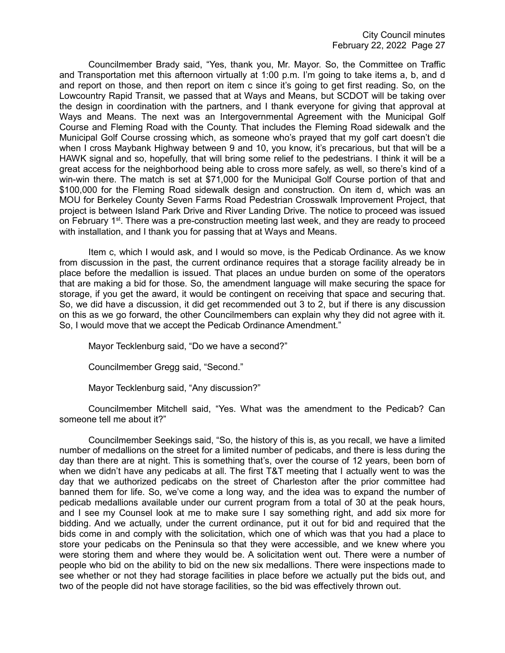Councilmember Brady said, "Yes, thank you, Mr. Mayor. So, the Committee on Traffic and Transportation met this afternoon virtually at 1:00 p.m. I'm going to take items a, b, and d and report on those, and then report on item c since it's going to get first reading. So, on the Lowcountry Rapid Transit, we passed that at Ways and Means, but SCDOT will be taking over the design in coordination with the partners, and I thank everyone for giving that approval at Ways and Means. The next was an Intergovernmental Agreement with the Municipal Golf Course and Fleming Road with the County. That includes the Fleming Road sidewalk and the Municipal Golf Course crossing which, as someone who's prayed that my golf cart doesn't die when I cross Maybank Highway between 9 and 10, you know, it's precarious, but that will be a HAWK signal and so, hopefully, that will bring some relief to the pedestrians. I think it will be a great access for the neighborhood being able to cross more safely, as well, so there's kind of a win-win there. The match is set at \$71,000 for the Municipal Golf Course portion of that and \$100,000 for the Fleming Road sidewalk design and construction. On item d, which was an MOU for Berkeley County Seven Farms Road Pedestrian Crosswalk Improvement Project, that project is between Island Park Drive and River Landing Drive. The notice to proceed was issued on February  $1^{st}$ . There was a pre-construction meeting last week, and they are ready to proceed with installation, and I thank you for passing that at Ways and Means.

Item c, which I would ask, and I would so move, is the Pedicab Ordinance. As we know from discussion in the past, the current ordinance requires that a storage facility already be in place before the medallion is issued. That places an undue burden on some of the operators that are making a bid for those. So, the amendment language will make securing the space for storage, if you get the award, it would be contingent on receiving that space and securing that. So, we did have a discussion, it did get recommended out 3 to 2, but if there is any discussion on this as we go forward, the other Councilmembers can explain why they did not agree with it. So, I would move that we accept the Pedicab Ordinance Amendment."

Mayor Tecklenburg said, "Do we have a second?"

Councilmember Gregg said, "Second."

Mayor Tecklenburg said, "Any discussion?"

Councilmember Mitchell said, "Yes. What was the amendment to the Pedicab? Can someone tell me about it?"

Councilmember Seekings said, "So, the history of this is, as you recall, we have a limited number of medallions on the street for a limited number of pedicabs, and there is less during the day than there are at night. This is something that's, over the course of 12 years, been born of when we didn't have any pedicabs at all. The first T&T meeting that I actually went to was the day that we authorized pedicabs on the street of Charleston after the prior committee had banned them for life. So, we've come a long way, and the idea was to expand the number of pedicab medallions available under our current program from a total of 30 at the peak hours, and I see my Counsel look at me to make sure I say something right, and add six more for bidding. And we actually, under the current ordinance, put it out for bid and required that the bids come in and comply with the solicitation, which one of which was that you had a place to store your pedicabs on the Peninsula so that they were accessible, and we knew where you were storing them and where they would be. A solicitation went out. There were a number of people who bid on the ability to bid on the new six medallions. There were inspections made to see whether or not they had storage facilities in place before we actually put the bids out, and two of the people did not have storage facilities, so the bid was effectively thrown out.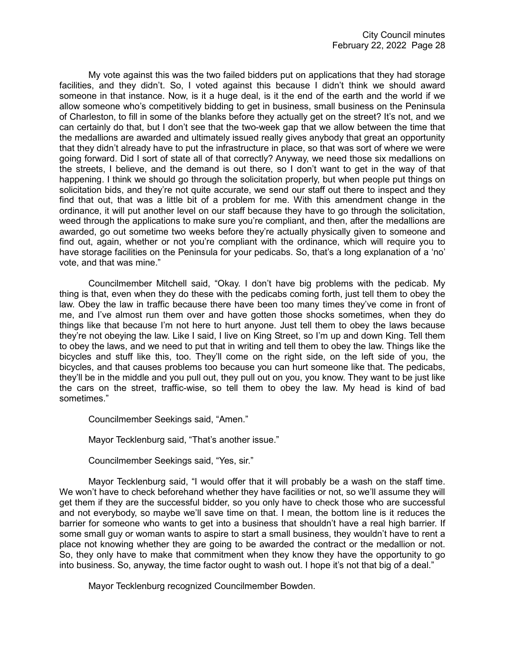My vote against this was the two failed bidders put on applications that they had storage facilities, and they didn't. So, I voted against this because I didn't think we should award someone in that instance. Now, is it a huge deal, is it the end of the earth and the world if we allow someone who's competitively bidding to get in business, small business on the Peninsula of Charleston, to fill in some of the blanks before they actually get on the street? It's not, and we can certainly do that, but I don't see that the two-week gap that we allow between the time that the medallions are awarded and ultimately issued really gives anybody that great an opportunity that they didn't already have to put the infrastructure in place, so that was sort of where we were going forward. Did I sort of state all of that correctly? Anyway, we need those six medallions on the streets, I believe, and the demand is out there, so I don't want to get in the way of that happening. I think we should go through the solicitation properly, but when people put things on solicitation bids, and they're not quite accurate, we send our staff out there to inspect and they find that out, that was a little bit of a problem for me. With this amendment change in the ordinance, it will put another level on our staff because they have to go through the solicitation, weed through the applications to make sure you're compliant, and then, after the medallions are awarded, go out sometime two weeks before they're actually physically given to someone and find out, again, whether or not you're compliant with the ordinance, which will require you to have storage facilities on the Peninsula for your pedicabs. So, that's a long explanation of a 'no' vote, and that was mine."

Councilmember Mitchell said, "Okay. I don't have big problems with the pedicab. My thing is that, even when they do these with the pedicabs coming forth, just tell them to obey the law. Obey the law in traffic because there have been too many times they've come in front of me, and I've almost run them over and have gotten those shocks sometimes, when they do things like that because I'm not here to hurt anyone. Just tell them to obey the laws because they're not obeying the law. Like I said, I live on King Street, so I'm up and down King. Tell them to obey the laws, and we need to put that in writing and tell them to obey the law. Things like the bicycles and stuff like this, too. They'll come on the right side, on the left side of you, the bicycles, and that causes problems too because you can hurt someone like that. The pedicabs, they'll be in the middle and you pull out, they pull out on you, you know. They want to be just like the cars on the street, traffic-wise, so tell them to obey the law. My head is kind of bad sometimes."

Councilmember Seekings said, "Amen."

Mayor Tecklenburg said, "That's another issue."

Councilmember Seekings said, "Yes, sir."

Mayor Tecklenburg said, "I would offer that it will probably be a wash on the staff time. We won't have to check beforehand whether they have facilities or not, so we'll assume they will get them if they are the successful bidder, so you only have to check those who are successful and not everybody, so maybe we'll save time on that. I mean, the bottom line is it reduces the barrier for someone who wants to get into a business that shouldn't have a real high barrier. If some small guy or woman wants to aspire to start a small business, they wouldn't have to rent a place not knowing whether they are going to be awarded the contract or the medallion or not. So, they only have to make that commitment when they know they have the opportunity to go into business. So, anyway, the time factor ought to wash out. I hope it's not that big of a deal."

Mayor Tecklenburg recognized Councilmember Bowden.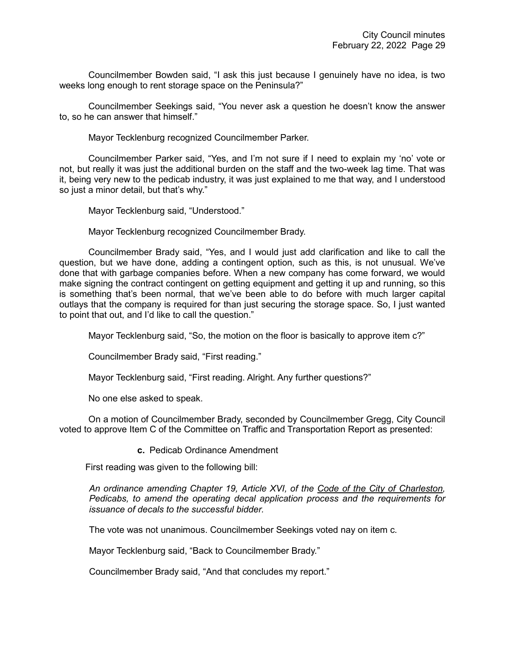Councilmember Bowden said, "I ask this just because I genuinely have no idea, is two weeks long enough to rent storage space on the Peninsula?"

Councilmember Seekings said, "You never ask a question he doesn't know the answer to, so he can answer that himself."

Mayor Tecklenburg recognized Councilmember Parker.

Councilmember Parker said, "Yes, and I'm not sure if I need to explain my 'no' vote or not, but really it was just the additional burden on the staff and the two-week lag time. That was it, being very new to the pedicab industry, it was just explained to me that way, and I understood so just a minor detail, but that's why."

Mayor Tecklenburg said, "Understood."

Mayor Tecklenburg recognized Councilmember Brady.

Councilmember Brady said, "Yes, and I would just add clarification and like to call the question, but we have done, adding a contingent option, such as this, is not unusual. We've done that with garbage companies before. When a new company has come forward, we would make signing the contract contingent on getting equipment and getting it up and running, so this is something that's been normal, that we've been able to do before with much larger capital outlays that the company is required for than just securing the storage space. So, I just wanted to point that out, and I'd like to call the question."

Mayor Tecklenburg said, "So, the motion on the floor is basically to approve item c?"

Councilmember Brady said, "First reading."

Mayor Tecklenburg said, "First reading. Alright. Any further questions?"

No one else asked to speak.

On a motion of Councilmember Brady, seconded by Councilmember Gregg, City Council voted to approve Item C of the Committee on Traffic and Transportation Report as presented:

**c.** Pedicab Ordinance Amendment

First reading was given to the following bill:

*An ordinance amending Chapter 19, Article XVI, of the Code of the City of Charleston, Pedicabs, to amend the operating decal application process and the requirements for issuance of decals to the successful bidder.*

The vote was not unanimous. Councilmember Seekings voted nay on item c.

Mayor Tecklenburg said, "Back to Councilmember Brady."

Councilmember Brady said, "And that concludes my report."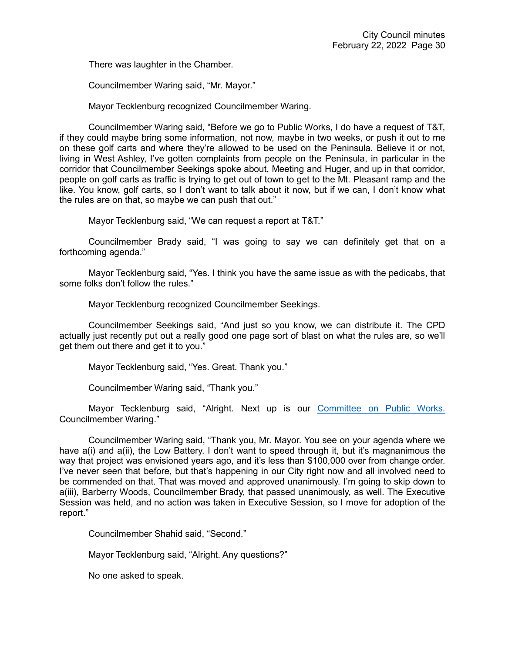There was laughter in the Chamber.

Councilmember Waring said, "Mr. Mayor."

Mayor Tecklenburg recognized Councilmember Waring.

Councilmember Waring said, "Before we go to Public Works, I do have a request of T&T, if they could maybe bring some information, not now, maybe in two weeks, or push it out to me on these golf carts and where they're allowed to be used on the Peninsula. Believe it or not, living in West Ashley, I've gotten complaints from people on the Peninsula, in particular in the corridor that Councilmember Seekings spoke about, Meeting and Huger, and up in that corridor, people on golf carts as traffic is trying to get out of town to get to the Mt. Pleasant ramp and the like. You know, golf carts, so I don't want to talk about it now, but if we can, I don't know what the rules are on that, so maybe we can push that out."

Mayor Tecklenburg said, "We can request a report at T&T."

Councilmember Brady said, "I was going to say we can definitely get that on a forthcoming agenda."

Mayor Tecklenburg said, "Yes. I think you have the same issue as with the pedicabs, that some folks don't follow the rules."

Mayor Tecklenburg recognized Councilmember Seekings.

Councilmember Seekings said, "And just so you know, we can distribute it. The CPD actually just recently put out a really good one page sort of blast on what the rules are, so we'll get them out there and get it to you."

Mayor Tecklenburg said, "Yes. Great. Thank you."

Councilmember Waring said, "Thank you."

Mayor Tecklenburg said, "Alright. Next up is our [Committee on Public Works.](https://youtu.be/lG9RkCgUGbI?t=5665) Councilmember Waring."

Councilmember Waring said, "Thank you, Mr. Mayor. You see on your agenda where we have a(i) and a(ii), the Low Battery. I don't want to speed through it, but it's magnanimous the way that project was envisioned years ago, and it's less than \$100,000 over from change order. I've never seen that before, but that's happening in our City right now and all involved need to be commended on that. That was moved and approved unanimously. I'm going to skip down to a(iii), Barberry Woods, Councilmember Brady, that passed unanimously, as well. The Executive Session was held, and no action was taken in Executive Session, so I move for adoption of the report."

Councilmember Shahid said, "Second."

Mayor Tecklenburg said, "Alright. Any questions?"

No one asked to speak.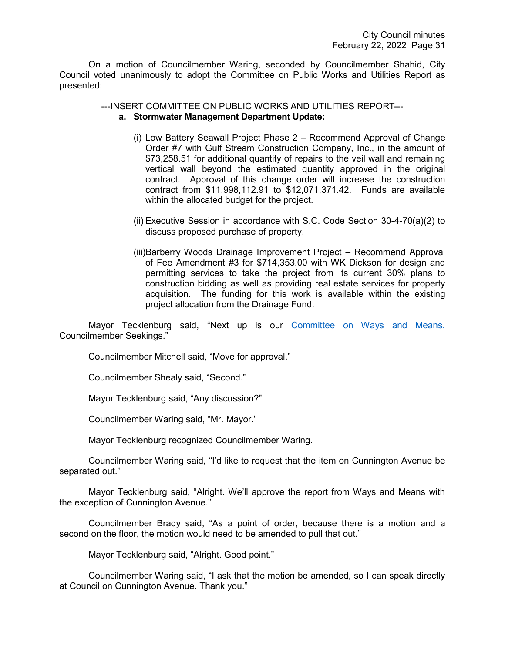On a motion of Councilmember Waring, seconded by Councilmember Shahid, City Council voted unanimously to adopt the Committee on Public Works and Utilities Report as presented:

#### ---INSERT COMMITTEE ON PUBLIC WORKS AND UTILITIES REPORT-- **a. Stormwater Management Department Update:**

- (i) Low Battery Seawall Project Phase 2 Recommend Approval of Change Order #7 with Gulf Stream Construction Company, Inc., in the amount of \$73,258.51 for additional quantity of repairs to the veil wall and remaining vertical wall beyond the estimated quantity approved in the original contract. Approval of this change order will increase the construction contract from \$11,998,112.91 to \$12,071,371.42. Funds are available within the allocated budget for the project.
- (ii) Executive Session in accordance with S.C. Code Section 30-4-70(a)(2) to discuss proposed purchase of property.
- (iii)Barberry Woods Drainage Improvement Project Recommend Approval of Fee Amendment #3 for \$714,353.00 with WK Dickson for design and permitting services to take the project from its current 30% plans to construction bidding as well as providing real estate services for property acquisition. The funding for this work is available within the existing project allocation from the Drainage Fund.

Mayor Tecklenburg said, "Next up is our [Committee on Ways and Means.](https://youtu.be/lG9RkCgUGbI?t=5719) Councilmember Seekings."

Councilmember Mitchell said, "Move for approval."

Councilmember Shealy said, "Second."

Mayor Tecklenburg said, "Any discussion?"

Councilmember Waring said, "Mr. Mayor."

Mayor Tecklenburg recognized Councilmember Waring.

Councilmember Waring said, "I'd like to request that the item on Cunnington Avenue be separated out."

Mayor Tecklenburg said, "Alright. We'll approve the report from Ways and Means with the exception of Cunnington Avenue."

Councilmember Brady said, "As a point of order, because there is a motion and a second on the floor, the motion would need to be amended to pull that out."

Mayor Tecklenburg said, "Alright. Good point."

Councilmember Waring said, "I ask that the motion be amended, so I can speak directly at Council on Cunnington Avenue. Thank you."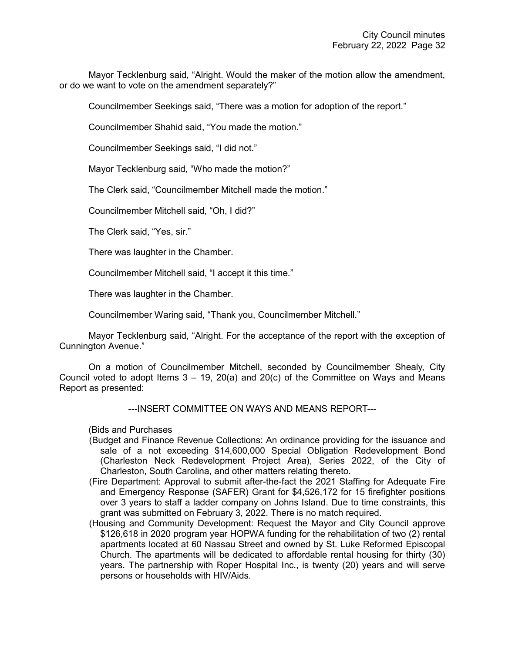Mayor Tecklenburg said, "Alright. Would the maker of the motion allow the amendment, or do we want to vote on the amendment separately?"

Councilmember Seekings said, "There was a motion for adoption of the report."

Councilmember Shahid said, "You made the motion."

Councilmember Seekings said, "I did not."

Mayor Tecklenburg said, "Who made the motion?"

The Clerk said, "Councilmember Mitchell made the motion."

Councilmember Mitchell said, "Oh, I did?"

The Clerk said, "Yes, sir."

There was laughter in the Chamber.

Councilmember Mitchell said, "I accept it this time."

There was laughter in the Chamber.

Councilmember Waring said, "Thank you, Councilmember Mitchell."

Mayor Tecklenburg said, "Alright. For the acceptance of the report with the exception of Cunnington Avenue."

On a motion of Councilmember Mitchell, seconded by Councilmember Shealy, City Council voted to adopt Items  $3 - 19$ ,  $20(a)$  and  $20(c)$  of the Committee on Ways and Means Report as presented:

---INSERT COMMITTEE ON WAYS AND MEANS REPORT---

(Bids and Purchases

- (Budget and Finance Revenue Collections: An ordinance providing for the issuance and sale of a not exceeding \$14,600,000 Special Obligation Redevelopment Bond (Charleston Neck Redevelopment Project Area), Series 2022, of the City of Charleston, South Carolina, and other matters relating thereto.
- (Fire Department: Approval to submit after-the-fact the 2021 Staffing for Adequate Fire and Emergency Response (SAFER) Grant for \$4,526,172 for 15 firefighter positions over 3 years to staff a ladder company on Johns Island. Due to time constraints, this grant was submitted on February 3, 2022. There is no match required.
- (Housing and Community Development: Request the Mayor and City Council approve \$126,618 in 2020 program year HOPWA funding for the rehabilitation of two (2) rental apartments located at 60 Nassau Street and owned by St. Luke Reformed Episcopal Church. The apartments will be dedicated to affordable rental housing for thirty (30) years. The partnership with Roper Hospital Inc., is twenty (20) years and will serve persons or households with HIV/Aids.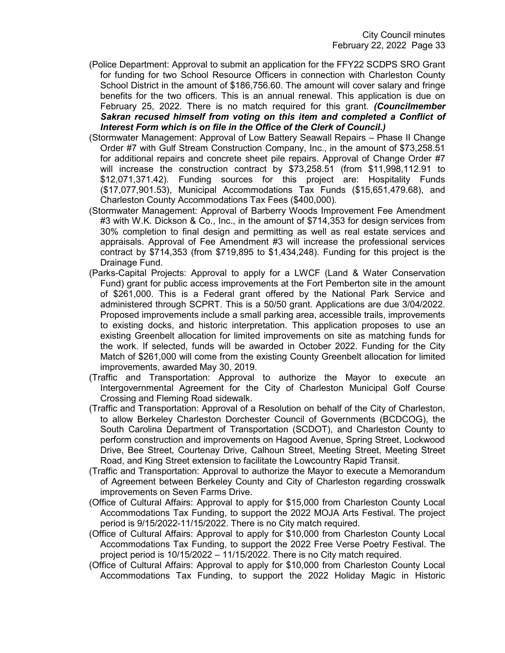- (Police Department: Approval to submit an application for the FFY22 SCDPS SRO Grant for funding for two School Resource Officers in connection with Charleston County School District in the amount of \$186,756.60. The amount will cover salary and fringe benefits for the two officers. This is an annual renewal. This application is due on February 25, 2022. There is no match required for this grant. *(Councilmember Sakran recused himself from voting on this item and completed a Conflict of Interest Form which is on file in the Office of the Clerk of Council.)*
- (Stormwater Management: Approval of Low Battery Seawall Repairs Phase II Change Order #7 with Gulf Stream Construction Company, Inc., in the amount of \$73,258.51 for additional repairs and concrete sheet pile repairs. Approval of Change Order #7 will increase the construction contract by \$73,258.51 (from \$11,998,112.91 to \$12,071,371.42). Funding sources for this project are: Hospitality Funds (\$17,077,901.53), Municipal Accommodations Tax Funds (\$15,651,479.68), and Charleston County Accommodations Tax Fees (\$400,000).
- (Stormwater Management: Approval of Barberry Woods Improvement Fee Amendment #3 with W.K. Dickson & Co., Inc., in the amount of \$714,353 for design services from 30% completion to final design and permitting as well as real estate services and appraisals. Approval of Fee Amendment #3 will increase the professional services contract by \$714,353 (from \$719,895 to \$1,434,248). Funding for this project is the Drainage Fund.
- (Parks-Capital Projects: Approval to apply for a LWCF (Land & Water Conservation Fund) grant for public access improvements at the Fort Pemberton site in the amount of \$261,000. This is a Federal grant offered by the National Park Service and administered through SCPRT. This is a 50/50 grant. Applications are due 3/04/2022. Proposed improvements include a small parking area, accessible trails, improvements to existing docks, and historic interpretation. This application proposes to use an existing Greenbelt allocation for limited improvements on site as matching funds for the work. If selected, funds will be awarded in October 2022. Funding for the City Match of \$261,000 will come from the existing County Greenbelt allocation for limited improvements, awarded May 30, 2019.
- (Traffic and Transportation: Approval to authorize the Mayor to execute an Intergovernmental Agreement for the City of Charleston Municipal Golf Course Crossing and Fleming Road sidewalk.
- (Traffic and Transportation: Approval of a Resolution on behalf of the City of Charleston, to allow Berkeley Charleston Dorchester Council of Governments (BCDCOG), the South Carolina Department of Transportation (SCDOT), and Charleston County to perform construction and improvements on Hagood Avenue, Spring Street, Lockwood Drive, Bee Street, Courtenay Drive, Calhoun Street, Meeting Street, Meeting Street Road, and King Street extension to facilitate the Lowcountry Rapid Transit.
- (Traffic and Transportation: Approval to authorize the Mayor to execute a Memorandum of Agreement between Berkeley County and City of Charleston regarding crosswalk improvements on Seven Farms Drive.
- (Office of Cultural Affairs: Approval to apply for \$15,000 from Charleston County Local Accommodations Tax Funding, to support the 2022 MOJA Arts Festival. The project period is 9/15/2022-11/15/2022. There is no City match required.
- (Office of Cultural Affairs: Approval to apply for \$10,000 from Charleston County Local Accommodations Tax Funding, to support the 2022 Free Verse Poetry Festival. The project period is 10/15/2022 – 11/15/2022. There is no City match required.
- (Office of Cultural Affairs: Approval to apply for \$10,000 from Charleston County Local Accommodations Tax Funding, to support the 2022 Holiday Magic in Historic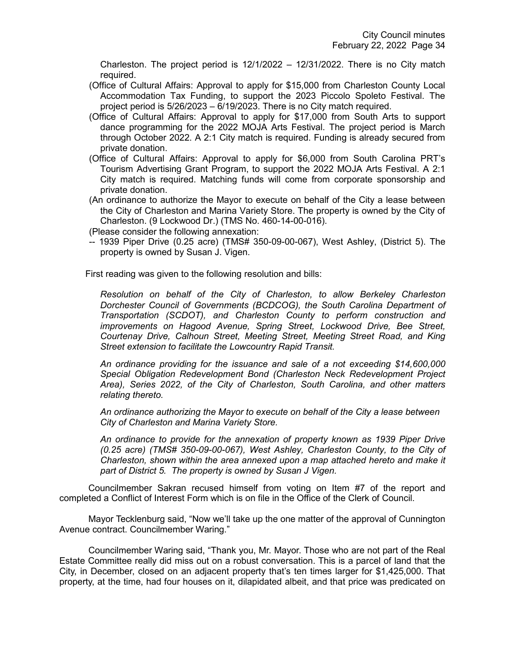Charleston. The project period is  $12/1/2022 - 12/31/2022$ . There is no City match required.

- (Office of Cultural Affairs: Approval to apply for \$15,000 from Charleston County Local Accommodation Tax Funding, to support the 2023 Piccolo Spoleto Festival. The project period is 5/26/2023 – 6/19/2023. There is no City match required.
- (Office of Cultural Affairs: Approval to apply for \$17,000 from South Arts to support dance programming for the 2022 MOJA Arts Festival. The project period is March through October 2022. A 2:1 City match is required. Funding is already secured from private donation.
- (Office of Cultural Affairs: Approval to apply for \$6,000 from South Carolina PRT's Tourism Advertising Grant Program, to support the 2022 MOJA Arts Festival. A 2:1 City match is required. Matching funds will come from corporate sponsorship and private donation.
- (An ordinance to authorize the Mayor to execute on behalf of the City a lease between the City of Charleston and Marina Variety Store. The property is owned by the City of Charleston. (9 Lockwood Dr.) (TMS No. 460-14-00-016).

(Please consider the following annexation:

-- 1939 Piper Drive (0.25 acre) (TMS# 350-09-00-067), West Ashley, (District 5). The property is owned by Susan J. Vigen.

First reading was given to the following resolution and bills:

*Resolution on behalf of the City of Charleston, to allow Berkeley Charleston Dorchester Council of Governments (BCDCOG), the South Carolina Department of Transportation (SCDOT), and Charleston County to perform construction and improvements on Hagood Avenue, Spring Street, Lockwood Drive, Bee Street, Courtenay Drive, Calhoun Street, Meeting Street, Meeting Street Road, and King Street extension to facilitate the Lowcountry Rapid Transit.*

*An ordinance providing for the issuance and sale of a not exceeding \$14,600,000 Special Obligation Redevelopment Bond (Charleston Neck Redevelopment Project Area), Series 2022, of the City of Charleston, South Carolina, and other matters relating thereto.*

*An ordinance authorizing the Mayor to execute on behalf of the City a lease between City of Charleston and Marina Variety Store.*

*An ordinance to provide for the annexation of property known as 1939 Piper Drive (0.25 acre) (TMS# 350-09-00-067), West Ashley, Charleston County, to the City of Charleston, shown within the area annexed upon a map attached hereto and make it part of District 5. The property is owned by Susan J Vigen.*

Councilmember Sakran recused himself from voting on Item #7 of the report and completed a Conflict of Interest Form which is on file in the Office of the Clerk of Council.

Mayor Tecklenburg said, "Now we'll take up the one matter of the approval of Cunnington Avenue contract. Councilmember Waring."

Councilmember Waring said, "Thank you, Mr. Mayor. Those who are not part of the Real Estate Committee really did miss out on a robust conversation. This is a parcel of land that the City, in December, closed on an adjacent property that's ten times larger for \$1,425,000. That property, at the time, had four houses on it, dilapidated albeit, and that price was predicated on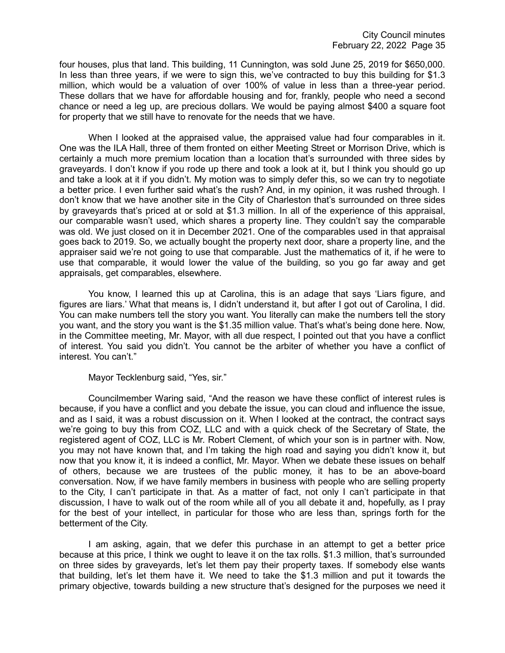four houses, plus that land. This building, 11 Cunnington, was sold June 25, 2019 for \$650,000. In less than three years, if we were to sign this, we've contracted to buy this building for \$1.3 million, which would be a valuation of over 100% of value in less than a three-year period. These dollars that we have for affordable housing and for, frankly, people who need a second chance or need a leg up, are precious dollars. We would be paying almost \$400 a square foot for property that we still have to renovate for the needs that we have.

When I looked at the appraised value, the appraised value had four comparables in it. One was the ILA Hall, three of them fronted on either Meeting Street or Morrison Drive, which is certainly a much more premium location than a location that's surrounded with three sides by graveyards. I don't know if you rode up there and took a look at it, but I think you should go up and take a look at it if you didn't. My motion was to simply defer this, so we can try to negotiate a better price. I even further said what's the rush? And, in my opinion, it was rushed through. I don't know that we have another site in the City of Charleston that's surrounded on three sides by graveyards that's priced at or sold at \$1.3 million. In all of the experience of this appraisal, our comparable wasn't used, which shares a property line. They couldn't say the comparable was old. We just closed on it in December 2021. One of the comparables used in that appraisal goes back to 2019. So, we actually bought the property next door, share a property line, and the appraiser said we're not going to use that comparable. Just the mathematics of it, if he were to use that comparable, it would lower the value of the building, so you go far away and get appraisals, get comparables, elsewhere.

You know, I learned this up at Carolina, this is an adage that says 'Liars figure, and figures are liars.' What that means is, I didn't understand it, but after I got out of Carolina, I did. You can make numbers tell the story you want. You literally can make the numbers tell the story you want, and the story you want is the \$1.35 million value. That's what's being done here. Now, in the Committee meeting, Mr. Mayor, with all due respect, I pointed out that you have a conflict of interest. You said you didn't. You cannot be the arbiter of whether you have a conflict of interest. You can't."

Mayor Tecklenburg said, "Yes, sir."

Councilmember Waring said, "And the reason we have these conflict of interest rules is because, if you have a conflict and you debate the issue, you can cloud and influence the issue, and as I said, it was a robust discussion on it. When I looked at the contract, the contract says we're going to buy this from COZ, LLC and with a quick check of the Secretary of State, the registered agent of COZ, LLC is Mr. Robert Clement, of which your son is in partner with. Now, you may not have known that, and I'm taking the high road and saying you didn't know it, but now that you know it, it is indeed a conflict, Mr. Mayor. When we debate these issues on behalf of others, because we are trustees of the public money, it has to be an above-board conversation. Now, if we have family members in business with people who are selling property to the City, I can't participate in that. As a matter of fact, not only I can't participate in that discussion, I have to walk out of the room while all of you all debate it and, hopefully, as I pray for the best of your intellect, in particular for those who are less than, springs forth for the betterment of the City.

I am asking, again, that we defer this purchase in an attempt to get a better price because at this price, I think we ought to leave it on the tax rolls. \$1.3 million, that's surrounded on three sides by graveyards, let's let them pay their property taxes. If somebody else wants that building, let's let them have it. We need to take the \$1.3 million and put it towards the primary objective, towards building a new structure that's designed for the purposes we need it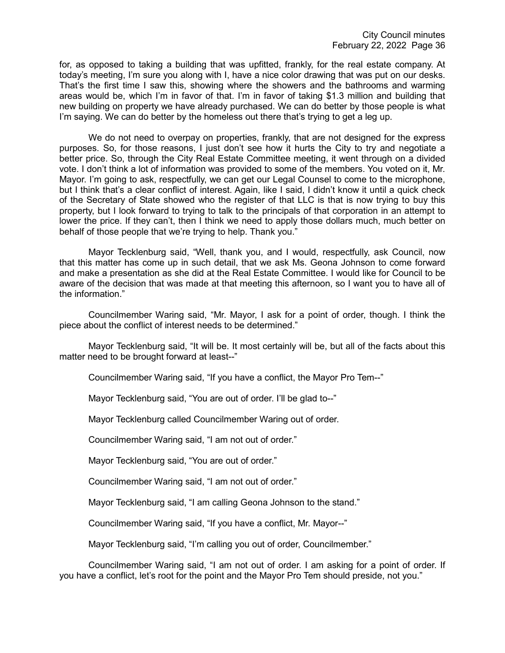for, as opposed to taking a building that was upfitted, frankly, for the real estate company. At today's meeting, I'm sure you along with I, have a nice color drawing that was put on our desks. That's the first time I saw this, showing where the showers and the bathrooms and warming areas would be, which I'm in favor of that. I'm in favor of taking \$1.3 million and building that new building on property we have already purchased. We can do better by those people is what I'm saying. We can do better by the homeless out there that's trying to get a leg up.

We do not need to overpay on properties, frankly, that are not designed for the express purposes. So, for those reasons, I just don't see how it hurts the City to try and negotiate a better price. So, through the City Real Estate Committee meeting, it went through on a divided vote. I don't think a lot of information was provided to some of the members. You voted on it, Mr. Mayor. I'm going to ask, respectfully, we can get our Legal Counsel to come to the microphone, but I think that's a clear conflict of interest. Again, like I said, I didn't know it until a quick check of the Secretary of State showed who the register of that LLC is that is now trying to buy this property, but I look forward to trying to talk to the principals of that corporation in an attempt to lower the price. If they can't, then I think we need to apply those dollars much, much better on behalf of those people that we're trying to help. Thank you."

Mayor Tecklenburg said, "Well, thank you, and I would, respectfully, ask Council, now that this matter has come up in such detail, that we ask Ms. Geona Johnson to come forward and make a presentation as she did at the Real Estate Committee. I would like for Council to be aware of the decision that was made at that meeting this afternoon, so I want you to have all of the information."

Councilmember Waring said, "Mr. Mayor, I ask for a point of order, though. I think the piece about the conflict of interest needs to be determined."

Mayor Tecklenburg said, "It will be. It most certainly will be, but all of the facts about this matter need to be brought forward at least--"

Councilmember Waring said, "If you have a conflict, the Mayor Pro Tem--"

Mayor Tecklenburg said, "You are out of order. I'll be glad to--"

Mayor Tecklenburg called Councilmember Waring out of order.

Councilmember Waring said, "I am not out of order."

Mayor Tecklenburg said, "You are out of order."

Councilmember Waring said, "I am not out of order."

Mayor Tecklenburg said, "I am calling Geona Johnson to the stand."

Councilmember Waring said, "If you have a conflict, Mr. Mayor--"

Mayor Tecklenburg said, "I'm calling you out of order, Councilmember."

Councilmember Waring said, "I am not out of order. I am asking for a point of order. If you have a conflict, let's root for the point and the Mayor Pro Tem should preside, not you."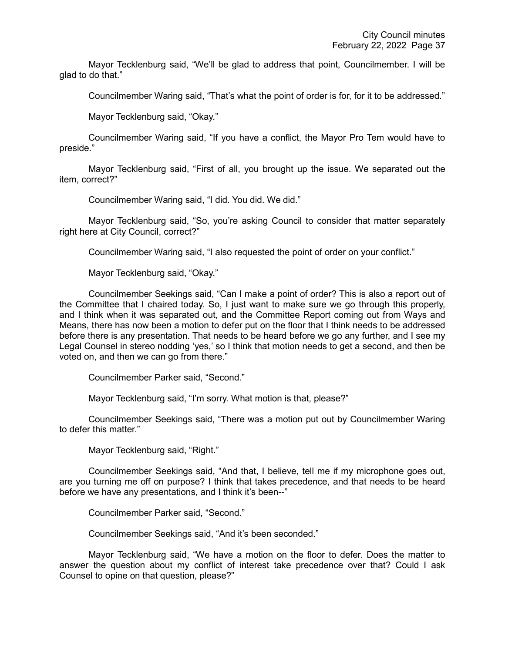Mayor Tecklenburg said, "We'll be glad to address that point, Councilmember. I will be glad to do that."

Councilmember Waring said, "That's what the point of order is for, for it to be addressed."

Mayor Tecklenburg said, "Okay."

Councilmember Waring said, "If you have a conflict, the Mayor Pro Tem would have to preside."

Mayor Tecklenburg said, "First of all, you brought up the issue. We separated out the item, correct?"

Councilmember Waring said, "I did. You did. We did."

Mayor Tecklenburg said, "So, you're asking Council to consider that matter separately right here at City Council, correct?"

Councilmember Waring said, "I also requested the point of order on your conflict."

Mayor Tecklenburg said, "Okay."

Councilmember Seekings said, "Can I make a point of order? This is also a report out of the Committee that I chaired today. So, I just want to make sure we go through this properly, and I think when it was separated out, and the Committee Report coming out from Ways and Means, there has now been a motion to defer put on the floor that I think needs to be addressed before there is any presentation. That needs to be heard before we go any further, and I see my Legal Counsel in stereo nodding 'yes,' so I think that motion needs to get a second, and then be voted on, and then we can go from there."

Councilmember Parker said, "Second."

Mayor Tecklenburg said, "I'm sorry. What motion is that, please?"

Councilmember Seekings said, "There was a motion put out by Councilmember Waring to defer this matter."

Mayor Tecklenburg said, "Right."

Councilmember Seekings said, "And that, I believe, tell me if my microphone goes out, are you turning me off on purpose? I think that takes precedence, and that needs to be heard before we have any presentations, and I think it's been--"

Councilmember Parker said, "Second."

Councilmember Seekings said, "And it's been seconded."

Mayor Tecklenburg said, "We have a motion on the floor to defer. Does the matter to answer the question about my conflict of interest take precedence over that? Could I ask Counsel to opine on that question, please?"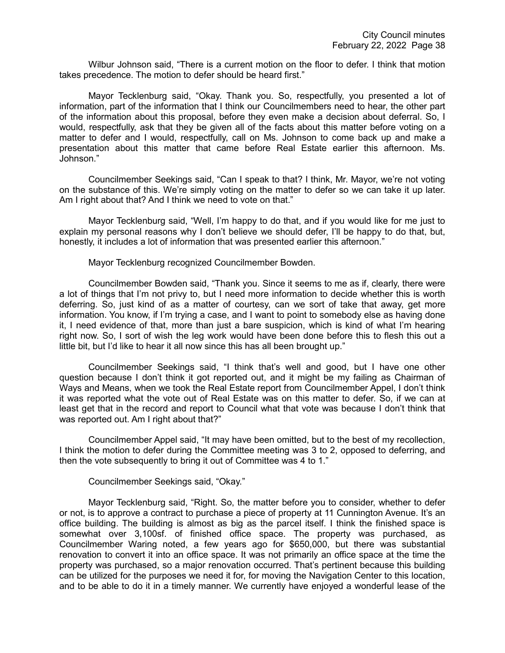Wilbur Johnson said, "There is a current motion on the floor to defer. I think that motion takes precedence. The motion to defer should be heard first."

Mayor Tecklenburg said, "Okay. Thank you. So, respectfully, you presented a lot of information, part of the information that I think our Councilmembers need to hear, the other part of the information about this proposal, before they even make a decision about deferral. So, I would, respectfully, ask that they be given all of the facts about this matter before voting on a matter to defer and I would, respectfully, call on Ms. Johnson to come back up and make a presentation about this matter that came before Real Estate earlier this afternoon. Ms. Johnson."

Councilmember Seekings said, "Can I speak to that? I think, Mr. Mayor, we're not voting on the substance of this. We're simply voting on the matter to defer so we can take it up later. Am I right about that? And I think we need to vote on that."

Mayor Tecklenburg said, "Well, I'm happy to do that, and if you would like for me just to explain my personal reasons why I don't believe we should defer, I'll be happy to do that, but, honestly, it includes a lot of information that was presented earlier this afternoon."

Mayor Tecklenburg recognized Councilmember Bowden.

Councilmember Bowden said, "Thank you. Since it seems to me as if, clearly, there were a lot of things that I'm not privy to, but I need more information to decide whether this is worth deferring. So, just kind of as a matter of courtesy, can we sort of take that away, get more information. You know, if I'm trying a case, and I want to point to somebody else as having done it, I need evidence of that, more than just a bare suspicion, which is kind of what I'm hearing right now. So, I sort of wish the leg work would have been done before this to flesh this out a little bit, but I'd like to hear it all now since this has all been brought up."

Councilmember Seekings said, "I think that's well and good, but I have one other question because I don't think it got reported out, and it might be my failing as Chairman of Ways and Means, when we took the Real Estate report from Councilmember Appel, I don't think it was reported what the vote out of Real Estate was on this matter to defer. So, if we can at least get that in the record and report to Council what that vote was because I don't think that was reported out. Am I right about that?"

Councilmember Appel said, "It may have been omitted, but to the best of my recollection, I think the motion to defer during the Committee meeting was 3 to 2, opposed to deferring, and then the vote subsequently to bring it out of Committee was 4 to 1."

Councilmember Seekings said, "Okay."

Mayor Tecklenburg said, "Right. So, the matter before you to consider, whether to defer or not, is to approve a contract to purchase a piece of property at 11 Cunnington Avenue. It's an office building. The building is almost as big as the parcel itself. I think the finished space is somewhat over 3,100sf. of finished office space. The property was purchased, as Councilmember Waring noted, a few years ago for \$650,000, but there was substantial renovation to convert it into an office space. It was not primarily an office space at the time the property was purchased, so a major renovation occurred. That's pertinent because this building can be utilized for the purposes we need it for, for moving the Navigation Center to this location, and to be able to do it in a timely manner. We currently have enjoyed a wonderful lease of the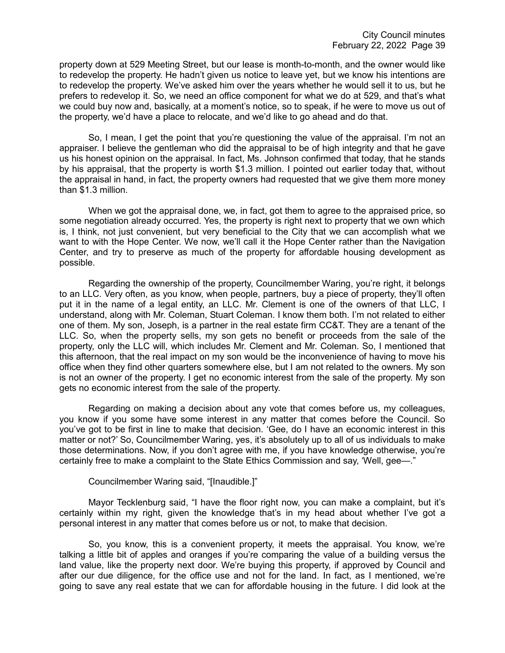property down at 529 Meeting Street, but our lease is month-to-month, and the owner would like to redevelop the property. He hadn't given us notice to leave yet, but we know his intentions are to redevelop the property. We've asked him over the years whether he would sell it to us, but he prefers to redevelop it. So, we need an office component for what we do at 529, and that's what we could buy now and, basically, at a moment's notice, so to speak, if he were to move us out of the property, we'd have a place to relocate, and we'd like to go ahead and do that.

So, I mean, I get the point that you're questioning the value of the appraisal. I'm not an appraiser. I believe the gentleman who did the appraisal to be of high integrity and that he gave us his honest opinion on the appraisal. In fact, Ms. Johnson confirmed that today, that he stands by his appraisal, that the property is worth \$1.3 million. I pointed out earlier today that, without the appraisal in hand, in fact, the property owners had requested that we give them more money than \$1.3 million.

When we got the appraisal done, we, in fact, got them to agree to the appraised price, so some negotiation already occurred. Yes, the property is right next to property that we own which is, I think, not just convenient, but very beneficial to the City that we can accomplish what we want to with the Hope Center. We now, we'll call it the Hope Center rather than the Navigation Center, and try to preserve as much of the property for affordable housing development as possible.

Regarding the ownership of the property, Councilmember Waring, you're right, it belongs to an LLC. Very often, as you know, when people, partners, buy a piece of property, they'll often put it in the name of a legal entity, an LLC. Mr. Clement is one of the owners of that LLC, I understand, along with Mr. Coleman, Stuart Coleman. I know them both. I'm not related to either one of them. My son, Joseph, is a partner in the real estate firm CC&T. They are a tenant of the LLC. So, when the property sells, my son gets no benefit or proceeds from the sale of the property, only the LLC will, which includes Mr. Clement and Mr. Coleman. So, I mentioned that this afternoon, that the real impact on my son would be the inconvenience of having to move his office when they find other quarters somewhere else, but I am not related to the owners. My son is not an owner of the property. I get no economic interest from the sale of the property. My son gets no economic interest from the sale of the property.

Regarding on making a decision about any vote that comes before us, my colleagues, you know if you some have some interest in any matter that comes before the Council. So you've got to be first in line to make that decision. 'Gee, do I have an economic interest in this matter or not?' So, Councilmember Waring, yes, it's absolutely up to all of us individuals to make those determinations. Now, if you don't agree with me, if you have knowledge otherwise, you're certainly free to make a complaint to the State Ethics Commission and say, 'Well, gee—."

Councilmember Waring said, "[Inaudible.]"

Mayor Tecklenburg said, "I have the floor right now, you can make a complaint, but it's certainly within my right, given the knowledge that's in my head about whether I've got a personal interest in any matter that comes before us or not, to make that decision.

So, you know, this is a convenient property, it meets the appraisal. You know, we're talking a little bit of apples and oranges if you're comparing the value of a building versus the land value, like the property next door. We're buying this property, if approved by Council and after our due diligence, for the office use and not for the land. In fact, as I mentioned, we're going to save any real estate that we can for affordable housing in the future. I did look at the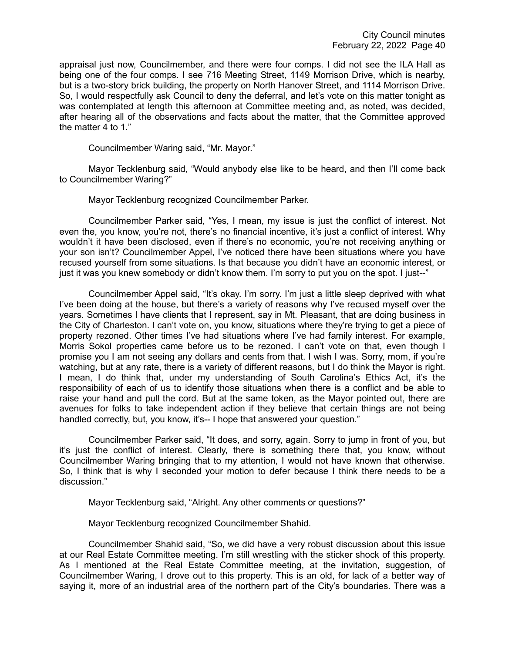appraisal just now, Councilmember, and there were four comps. I did not see the ILA Hall as being one of the four comps. I see 716 Meeting Street, 1149 Morrison Drive, which is nearby, but is a two-story brick building, the property on North Hanover Street, and 1114 Morrison Drive. So, I would respectfully ask Council to deny the deferral, and let's vote on this matter tonight as was contemplated at length this afternoon at Committee meeting and, as noted, was decided, after hearing all of the observations and facts about the matter, that the Committee approved the matter 4 to 1."

Councilmember Waring said, "Mr. Mayor."

Mayor Tecklenburg said, "Would anybody else like to be heard, and then I'll come back to Councilmember Waring?"

Mayor Tecklenburg recognized Councilmember Parker.

Councilmember Parker said, "Yes, I mean, my issue is just the conflict of interest. Not even the, you know, you're not, there's no financial incentive, it's just a conflict of interest. Why wouldn't it have been disclosed, even if there's no economic, you're not receiving anything or your son isn't? Councilmember Appel, I've noticed there have been situations where you have recused yourself from some situations. Is that because you didn't have an economic interest, or just it was you knew somebody or didn't know them. I'm sorry to put you on the spot. I just--"

Councilmember Appel said, "It's okay. I'm sorry. I'm just a little sleep deprived with what I've been doing at the house, but there's a variety of reasons why I've recused myself over the years. Sometimes I have clients that I represent, say in Mt. Pleasant, that are doing business in the City of Charleston. I can't vote on, you know, situations where they're trying to get a piece of property rezoned. Other times I've had situations where I've had family interest. For example, Morris Sokol properties came before us to be rezoned. I can't vote on that, even though I promise you I am not seeing any dollars and cents from that. I wish I was. Sorry, mom, if you're watching, but at any rate, there is a variety of different reasons, but I do think the Mayor is right. I mean, I do think that, under my understanding of South Carolina's Ethics Act, it's the responsibility of each of us to identify those situations when there is a conflict and be able to raise your hand and pull the cord. But at the same token, as the Mayor pointed out, there are avenues for folks to take independent action if they believe that certain things are not being handled correctly, but, you know, it's-- I hope that answered your question."

Councilmember Parker said, "It does, and sorry, again. Sorry to jump in front of you, but it's just the conflict of interest. Clearly, there is something there that, you know, without Councilmember Waring bringing that to my attention, I would not have known that otherwise. So, I think that is why I seconded your motion to defer because I think there needs to be a discussion."

Mayor Tecklenburg said, "Alright. Any other comments or questions?"

Mayor Tecklenburg recognized Councilmember Shahid.

Councilmember Shahid said, "So, we did have a very robust discussion about this issue at our Real Estate Committee meeting. I'm still wrestling with the sticker shock of this property. As I mentioned at the Real Estate Committee meeting, at the invitation, suggestion, of Councilmember Waring, I drove out to this property. This is an old, for lack of a better way of saying it, more of an industrial area of the northern part of the City's boundaries. There was a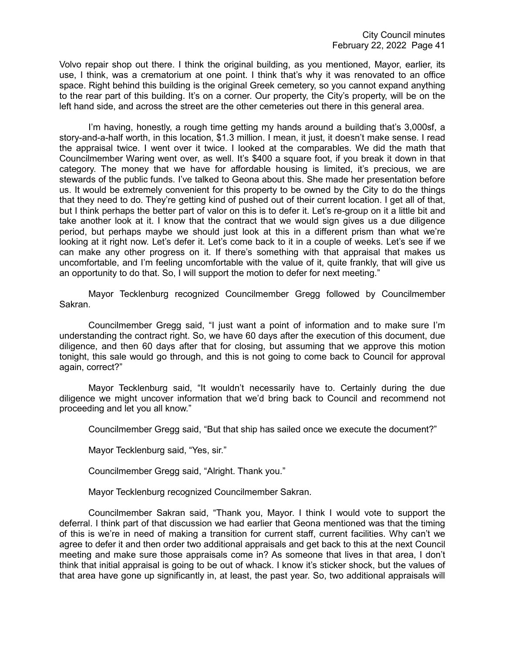Volvo repair shop out there. I think the original building, as you mentioned, Mayor, earlier, its use, I think, was a crematorium at one point. I think that's why it was renovated to an office space. Right behind this building is the original Greek cemetery, so you cannot expand anything to the rear part of this building. It's on a corner. Our property, the City's property, will be on the left hand side, and across the street are the other cemeteries out there in this general area.

I'm having, honestly, a rough time getting my hands around a building that's 3,000sf, a story-and-a-half worth, in this location, \$1.3 million. I mean, it just, it doesn't make sense. I read the appraisal twice. I went over it twice. I looked at the comparables. We did the math that Councilmember Waring went over, as well. It's \$400 a square foot, if you break it down in that category. The money that we have for affordable housing is limited, it's precious, we are stewards of the public funds. I've talked to Geona about this. She made her presentation before us. It would be extremely convenient for this property to be owned by the City to do the things that they need to do. They're getting kind of pushed out of their current location. I get all of that, but I think perhaps the better part of valor on this is to defer it. Let's re-group on it a little bit and take another look at it. I know that the contract that we would sign gives us a due diligence period, but perhaps maybe we should just look at this in a different prism than what we're looking at it right now. Let's defer it. Let's come back to it in a couple of weeks. Let's see if we can make any other progress on it. If there's something with that appraisal that makes us uncomfortable, and I'm feeling uncomfortable with the value of it, quite frankly, that will give us an opportunity to do that. So, I will support the motion to defer for next meeting."

Mayor Tecklenburg recognized Councilmember Gregg followed by Councilmember Sakran.

Councilmember Gregg said, "I just want a point of information and to make sure I'm understanding the contract right. So, we have 60 days after the execution of this document, due diligence, and then 60 days after that for closing, but assuming that we approve this motion tonight, this sale would go through, and this is not going to come back to Council for approval again, correct?"

Mayor Tecklenburg said, "It wouldn't necessarily have to. Certainly during the due diligence we might uncover information that we'd bring back to Council and recommend not proceeding and let you all know."

Councilmember Gregg said, "But that ship has sailed once we execute the document?"

Mayor Tecklenburg said, "Yes, sir."

Councilmember Gregg said, "Alright. Thank you."

Mayor Tecklenburg recognized Councilmember Sakran.

Councilmember Sakran said, "Thank you, Mayor. I think I would vote to support the deferral. I think part of that discussion we had earlier that Geona mentioned was that the timing of this is we're in need of making a transition for current staff, current facilities. Why can't we agree to defer it and then order two additional appraisals and get back to this at the next Council meeting and make sure those appraisals come in? As someone that lives in that area, I don't think that initial appraisal is going to be out of whack. I know it's sticker shock, but the values of that area have gone up significantly in, at least, the past year. So, two additional appraisals will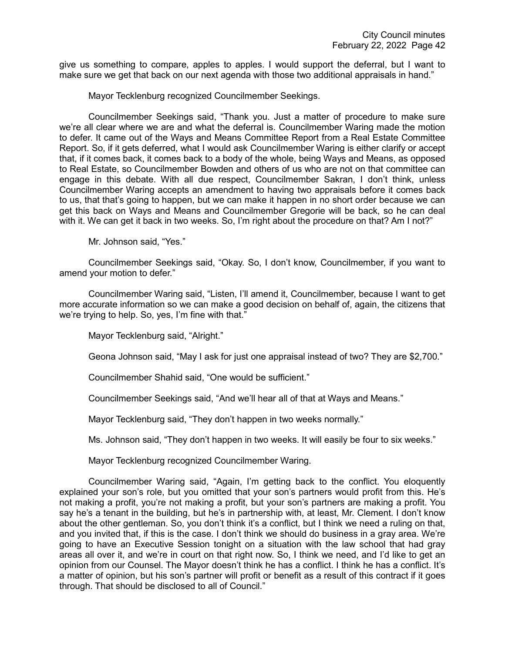give us something to compare, apples to apples. I would support the deferral, but I want to make sure we get that back on our next agenda with those two additional appraisals in hand."

Mayor Tecklenburg recognized Councilmember Seekings.

Councilmember Seekings said, "Thank you. Just a matter of procedure to make sure we're all clear where we are and what the deferral is. Councilmember Waring made the motion to defer. It came out of the Ways and Means Committee Report from a Real Estate Committee Report. So, if it gets deferred, what I would ask Councilmember Waring is either clarify or accept that, if it comes back, it comes back to a body of the whole, being Ways and Means, as opposed to Real Estate, so Councilmember Bowden and others of us who are not on that committee can engage in this debate. With all due respect, Councilmember Sakran, I don't think, unless Councilmember Waring accepts an amendment to having two appraisals before it comes back to us, that that's going to happen, but we can make it happen in no short order because we can get this back on Ways and Means and Councilmember Gregorie will be back, so he can deal with it. We can get it back in two weeks. So, I'm right about the procedure on that? Am I not?"

Mr. Johnson said, "Yes."

Councilmember Seekings said, "Okay. So, I don't know, Councilmember, if you want to amend your motion to defer."

Councilmember Waring said, "Listen, I'll amend it, Councilmember, because I want to get more accurate information so we can make a good decision on behalf of, again, the citizens that we're trying to help. So, yes, I'm fine with that."

Mayor Tecklenburg said, "Alright."

Geona Johnson said, "May I ask for just one appraisal instead of two? They are \$2,700."

Councilmember Shahid said, "One would be sufficient."

Councilmember Seekings said, "And we'll hear all of that at Ways and Means."

Mayor Tecklenburg said, "They don't happen in two weeks normally."

Ms. Johnson said, "They don't happen in two weeks. It will easily be four to six weeks."

Mayor Tecklenburg recognized Councilmember Waring.

Councilmember Waring said, "Again, I'm getting back to the conflict. You eloquently explained your son's role, but you omitted that your son's partners would profit from this. He's not making a profit, you're not making a profit, but your son's partners are making a profit. You say he's a tenant in the building, but he's in partnership with, at least, Mr. Clement. I don't know about the other gentleman. So, you don't think it's a conflict, but I think we need a ruling on that, and you invited that, if this is the case. I don't think we should do business in a gray area. We're going to have an Executive Session tonight on a situation with the law school that had gray areas all over it, and we're in court on that right now. So, I think we need, and I'd like to get an opinion from our Counsel. The Mayor doesn't think he has a conflict. I think he has a conflict. It's a matter of opinion, but his son's partner will profit or benefit as a result of this contract if it goes through. That should be disclosed to all of Council."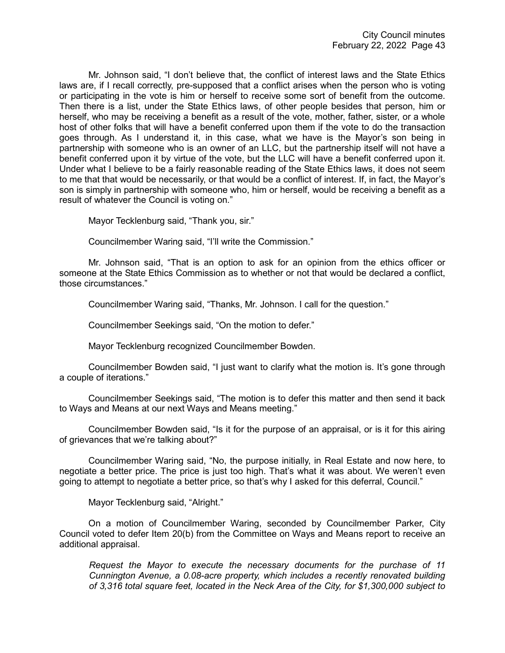Mr. Johnson said, "I don't believe that, the conflict of interest laws and the State Ethics laws are, if I recall correctly, pre-supposed that a conflict arises when the person who is voting or participating in the vote is him or herself to receive some sort of benefit from the outcome. Then there is a list, under the State Ethics laws, of other people besides that person, him or herself, who may be receiving a benefit as a result of the vote, mother, father, sister, or a whole host of other folks that will have a benefit conferred upon them if the vote to do the transaction goes through. As I understand it, in this case, what we have is the Mayor's son being in partnership with someone who is an owner of an LLC, but the partnership itself will not have a benefit conferred upon it by virtue of the vote, but the LLC will have a benefit conferred upon it. Under what I believe to be a fairly reasonable reading of the State Ethics laws, it does not seem to me that that would be necessarily, or that would be a conflict of interest. If, in fact, the Mayor's son is simply in partnership with someone who, him or herself, would be receiving a benefit as a result of whatever the Council is voting on."

Mayor Tecklenburg said, "Thank you, sir."

Councilmember Waring said, "I'll write the Commission."

Mr. Johnson said, "That is an option to ask for an opinion from the ethics officer or someone at the State Ethics Commission as to whether or not that would be declared a conflict, those circumstances."

Councilmember Waring said, "Thanks, Mr. Johnson. I call for the question."

Councilmember Seekings said, "On the motion to defer."

Mayor Tecklenburg recognized Councilmember Bowden.

Councilmember Bowden said, "I just want to clarify what the motion is. It's gone through a couple of iterations."

Councilmember Seekings said, "The motion is to defer this matter and then send it back to Ways and Means at our next Ways and Means meeting."

Councilmember Bowden said, "Is it for the purpose of an appraisal, or is it for this airing of grievances that we're talking about?"

Councilmember Waring said, "No, the purpose initially, in Real Estate and now here, to negotiate a better price. The price is just too high. That's what it was about. We weren't even going to attempt to negotiate a better price, so that's why I asked for this deferral, Council."

Mayor Tecklenburg said, "Alright."

On a motion of Councilmember Waring, seconded by Councilmember Parker, City Council voted to defer Item 20(b) from the Committee on Ways and Means report to receive an additional appraisal.

*Request the Mayor to execute the necessary documents for the purchase of 11 Cunnington Avenue, a 0.08-acre property, which includes a recently renovated building of 3,316 total square feet, located in the Neck Area of the City, for \$1,300,000 subject to*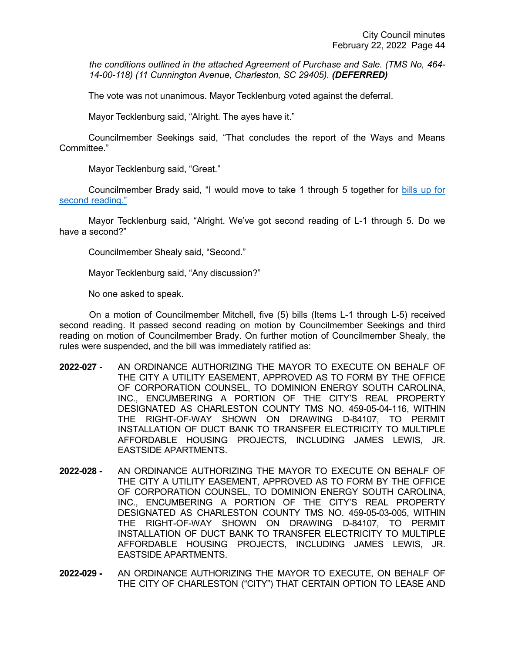*the conditions outlined in the attached Agreement of Purchase and Sale. (TMS No, 464- 14-00-118) (11 Cunnington Avenue, Charleston, SC 29405). (DEFERRED)*

The vote was not unanimous. Mayor Tecklenburg voted against the deferral.

Mayor Tecklenburg said, "Alright. The ayes have it."

Councilmember Seekings said, "That concludes the report of the Ways and Means Committee."

Mayor Tecklenburg said, "Great."

Councilmember Brady said, "I would move to take 1 through 5 together for bills up for [second reading."](https://youtu.be/lG9RkCgUGbI?t=7862)

Mayor Tecklenburg said, "Alright. We've got second reading of L-1 through 5. Do we have a second?"

Councilmember Shealy said, "Second."

Mayor Tecklenburg said, "Any discussion?"

No one asked to speak.

On a motion of Councilmember Mitchell, five (5) bills (Items L-1 through L-5) received second reading. It passed second reading on motion by Councilmember Seekings and third reading on motion of Councilmember Brady. On further motion of Councilmember Shealy, the rules were suspended, and the bill was immediately ratified as:

- **2022-027 -** AN ORDINANCE AUTHORIZING THE MAYOR TO EXECUTE ON BEHALF OF THE CITY A UTILITY EASEMENT, APPROVED AS TO FORM BY THE OFFICE OF CORPORATION COUNSEL, TO DOMINION ENERGY SOUTH CAROLINA, INC., ENCUMBERING A PORTION OF THE CITY'S REAL PROPERTY DESIGNATED AS CHARLESTON COUNTY TMS NO. 459-05-04-116, WITHIN THE RIGHT-OF-WAY SHOWN ON DRAWING D-84107, TO PERMIT INSTALLATION OF DUCT BANK TO TRANSFER ELECTRICITY TO MULTIPLE AFFORDABLE HOUSING PROJECTS, INCLUDING JAMES LEWIS, JR. EASTSIDE APARTMENTS.
- **2022-028 -** AN ORDINANCE AUTHORIZING THE MAYOR TO EXECUTE ON BEHALF OF THE CITY A UTILITY EASEMENT, APPROVED AS TO FORM BY THE OFFICE OF CORPORATION COUNSEL, TO DOMINION ENERGY SOUTH CAROLINA, INC., ENCUMBERING A PORTION OF THE CITY'S REAL PROPERTY DESIGNATED AS CHARLESTON COUNTY TMS NO. 459-05-03-005, WITHIN THE RIGHT-OF-WAY SHOWN ON DRAWING D-84107, TO PERMIT INSTALLATION OF DUCT BANK TO TRANSFER ELECTRICITY TO MULTIPLE AFFORDABLE HOUSING PROJECTS, INCLUDING JAMES LEWIS, JR. EASTSIDE APARTMENTS.
- **2022-029 -** AN ORDINANCE AUTHORIZING THE MAYOR TO EXECUTE, ON BEHALF OF THE CITY OF CHARLESTON ("CITY") THAT CERTAIN OPTION TO LEASE AND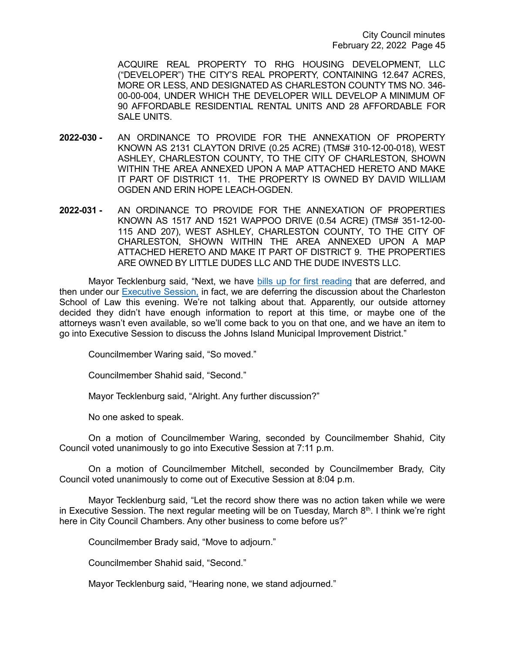ACQUIRE REAL PROPERTY TO RHG HOUSING DEVELOPMENT, LLC ("DEVELOPER") THE CITY'S REAL PROPERTY, CONTAINING 12.647 ACRES, MORE OR LESS, AND DESIGNATED AS CHARLESTON COUNTY TMS NO. 346- 00-00-004, UNDER WHICH THE DEVELOPER WILL DEVELOP A MINIMUM OF 90 AFFORDABLE RESIDENTIAL RENTAL UNITS AND 28 AFFORDABLE FOR SALE UNITS.

- **2022-030 -** AN ORDINANCE TO PROVIDE FOR THE ANNEXATION OF PROPERTY KNOWN AS 2131 CLAYTON DRIVE (0.25 ACRE) (TMS# 310-12-00-018), WEST ASHLEY, CHARLESTON COUNTY, TO THE CITY OF CHARLESTON, SHOWN WITHIN THE AREA ANNEXED UPON A MAP ATTACHED HERETO AND MAKE IT PART OF DISTRICT 11. THE PROPERTY IS OWNED BY DAVID WILLIAM OGDEN AND ERIN HOPE LEACH-OGDEN.
- **2022-031 -** AN ORDINANCE TO PROVIDE FOR THE ANNEXATION OF PROPERTIES KNOWN AS 1517 AND 1521 WAPPOO DRIVE (0.54 ACRE) (TMS# 351-12-00- 115 AND 207), WEST ASHLEY, CHARLESTON COUNTY, TO THE CITY OF CHARLESTON, SHOWN WITHIN THE AREA ANNEXED UPON A MAP ATTACHED HERETO AND MAKE IT PART OF DISTRICT 9. THE PROPERTIES ARE OWNED BY LITTLE DUDES LLC AND THE DUDE INVESTS LLC.

Mayor Tecklenburg said, "Next, we have [bills up for first reading](https://youtu.be/lG9RkCgUGbI?t=7887) that are deferred, and then under our [Executive Session,](https://youtu.be/lG9RkCgUGbI?t=7894) in fact, we are deferring the discussion about the Charleston School of Law this evening. We're not talking about that. Apparently, our outside attorney decided they didn't have enough information to report at this time, or maybe one of the attorneys wasn't even available, so we'll come back to you on that one, and we have an item to go into Executive Session to discuss the Johns Island Municipal Improvement District."

Councilmember Waring said, "So moved."

Councilmember Shahid said, "Second."

Mayor Tecklenburg said, "Alright. Any further discussion?"

No one asked to speak.

On a motion of Councilmember Waring, seconded by Councilmember Shahid, City Council voted unanimously to go into Executive Session at 7:11 p.m.

On a motion of Councilmember Mitchell, seconded by Councilmember Brady, City Council voted unanimously to come out of Executive Session at 8:04 p.m.

Mayor Tecklenburg said, "Let the record show there was no action taken while we were in Executive Session. The next regular meeting will be on Tuesday, March  $8<sup>th</sup>$ . I think we're right here in City Council Chambers. Any other business to come before us?"

Councilmember Brady said, "Move to adjourn."

Councilmember Shahid said, "Second."

Mayor Tecklenburg said, "Hearing none, we stand adjourned."